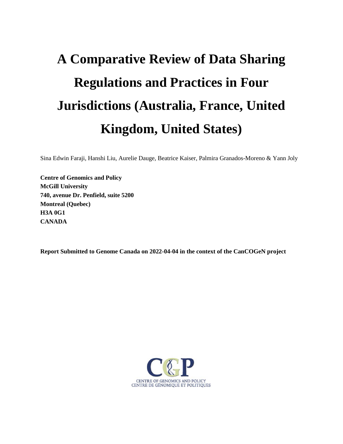# **A Comparative Review of Data Sharing Regulations and Practices in Four Jurisdictions (Australia, France, United Kingdom, United States)**

Sina Edwin Faraji, Hanshi Liu, Aurelie Dauge, Beatrice Kaiser, Palmira Granados-Moreno & Yann Joly

**Centre of Genomics and Policy McGill University 740, avenue Dr. Penfield, suite 5200 Montreal (Quebec) H3A 0G1 CANADA**

**Report Submitted to Genome Canada on 2022-04-04 in the context of the CanCOGeN project**

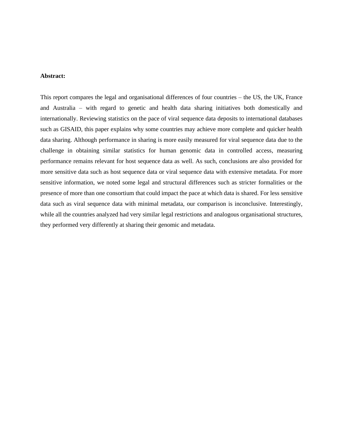#### **Abstract:**

This report compares the legal and organisational differences of four countries – the US, the UK, France and Australia – with regard to genetic and health data sharing initiatives both domestically and internationally. Reviewing statistics on the pace of viral sequence data deposits to international databases such as GISAID, this paper explains why some countries may achieve more complete and quicker health data sharing. Although performance in sharing is more easily measured for viral sequence data due to the challenge in obtaining similar statistics for human genomic data in controlled access, measuring performance remains relevant for host sequence data as well. As such, conclusions are also provided for more sensitive data such as host sequence data or viral sequence data with extensive metadata. For more sensitive information, we noted some legal and structural differences such as stricter formalities or the presence of more than one consortium that could impact the pace at which data is shared. For less sensitive data such as viral sequence data with minimal metadata, our comparison is inconclusive. Interestingly, while all the countries analyzed had very similar legal restrictions and analogous organisational structures, they performed very differently at sharing their genomic and metadata.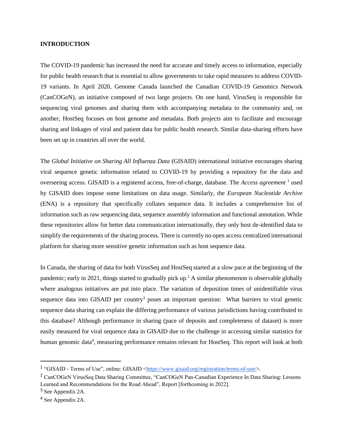#### **INTRODUCTION**

The COVID-19 pandemic has increased the need for accurate and timely access to information, especially for public health research that is essential to allow governments to take rapid measures to address COVID-19 variants. In April 2020, Genome Canada launched the Canadian COVID-19 Genomics Network (CanCOGeN), an initiative composed of two large projects. On one hand, VirusSeq is responsible for sequencing viral genomes and sharing them with accompanying metadata to the community and, on another, HostSeq focuses on host genome and metadata. Both projects aim to facilitate and encourage sharing and linkages of viral and patient data for public health research. Similar data-sharing efforts have been set up in countries all over the world.

The *Global Initiative on Sharing All Influenza Data* (GISAID) international initiative encourages sharing viral sequence genetic information related to COVID-19 by providing a repository for the data and overseeing access. GISAID is a registered access, free-of-charge, database. The *Access agreement* <sup>1</sup> used by GISAID does impose some limitations on data usage. Similarly, the *European Nucleotide Archive* (ENA) is a repository that specifically collates sequence data. It includes a comprehensive list of information such as raw sequencing data, sequence assembly information and functional annotation. While these repositories allow for better data communication internationally, they only host de-identified data to simplify the requirements of the sharing process. There is currently no open access centralized international platform for sharing more sensitive genetic information such as host sequence data.

In Canada, the sharing of data for both VirusSeq and HostSeq started at a slow pace at the beginning of the pandemic; early in 2021, things started to gradually pick up.<sup>2</sup> A similar phenomenon is observable globally where analogous initiatives are put into place. The variation of deposition times of unidentifiable virus sequence data into GISAID per country<sup>3</sup> poses an important question: What barriers to viral genetic sequence data sharing can explain the differing performance of various jurisdictions having contributed to this database? Although performance in sharing (pace of deposits and completeness of dataset) is more easily measured for viral sequence data in GISAID due to the challenge in accessing similar statistics for human genomic data<sup>4</sup>, measuring performance remains relevant for HostSeq. This report will look at both

<sup>&</sup>lt;sup>1</sup> "GISAID - Terms of Use", online: GISAID [<https://www.gisaid.org/registration/terms-of-use/>](https://www.gisaid.org/registration/terms-of-use/).

<sup>2</sup> CanCOGeN VirusSeq Data Sharing Committee, "CanCOGeN Pan-Canadian Experience In Data Sharing: Lessons Learned and Recommendations for the Road Ahead", Report [forthcoming in 2022].

<sup>3</sup> See Appendix 2A.

<sup>4</sup> See Appendix 2A.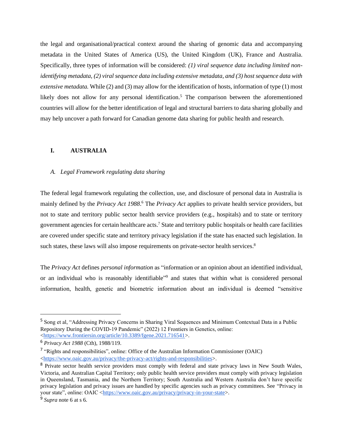the legal and organisational/practical context around the sharing of genomic data and accompanying metadata in the United States of America (US), the United Kingdom (UK), France and Australia. Specifically, three types of information will be considered: *(1) viral sequence data including limited nonidentifying metadata, (2) viral sequence data including extensive metadata, and (3) host sequence data with extensive metadata.* While (2) and (3) may allow for the identification of hosts, information of type (1) most likely does not allow for any personal identification.<sup>5</sup> The comparison between the aforementioned countries will allow for the better identification of legal and structural barriers to data sharing globally and may help uncover a path forward for Canadian genome data sharing for public health and research.

#### **I. AUSTRALIA**

#### *A. Legal Framework regulating data sharing*

The federal legal framework regulating the collection, use, and disclosure of personal data in Australia is mainly defined by the *Privacy Act 1988*.<sup>6</sup> The *Privacy Act* applies to private health service providers, but not to state and territory public sector health service providers (e.g., hospitals) and to state or territory government agencies for certain healthcare acts.<sup>7</sup> State and territory public hospitals or health care facilities are covered under specific state and territory privacy legislation if the state has enacted such legislation. In such states, these laws will also impose requirements on private-sector health services.<sup>8</sup>

The *Privacy Act* defines *personal information* as "information or an opinion about an identified individual, or an individual who is reasonably identifiable"<sup>9</sup> and states that within what is considered personal information, health, genetic and biometric information about an individual is deemed "sensitive

<sup>5</sup> Song et al, "Addressing Privacy Concerns in Sharing Viral Sequences and Minimum Contextual Data in a Public Repository During the COVID-19 Pandemic" (2022) 12 Frontiers in Genetics, online: [<https://www.frontiersin.org/article/10.3389/fgene.2021.716541>](https://www.frontiersin.org/article/10.3389/fgene.2021.716541).

<sup>6</sup> *Privacy Act 1988* (Cth), 1988/119.

<sup>&</sup>lt;sup>7</sup> "Rights and responsibilities", online: Office of the Australian Information Commissioner (OAIC) [<https://www.oaic.gov.au/privacy/the-privacy-act/rights-and-responsibilities>](https://www.oaic.gov.au/privacy/the-privacy-act/rights-and-responsibilities).

<sup>&</sup>lt;sup>8</sup> Private sector health service providers must comply with federal and state privacy laws in New South Wales, Victoria, and Australian Capital Territory; only public health service providers must comply with privacy legislation in Queensland, Tasmania, and the Northern Territory; South Australia and Western Australia don't have specific privacy legislation and privacy issues are handled by specific agencies such as privacy committees. See "Privacy in your state", online: OAIC [<https://www.oaic.gov.au/privacy/privacy-in-your-state>](https://www.oaic.gov.au/privacy/privacy-in-your-state).

<sup>9</sup> *Supra* note 6 at s 6.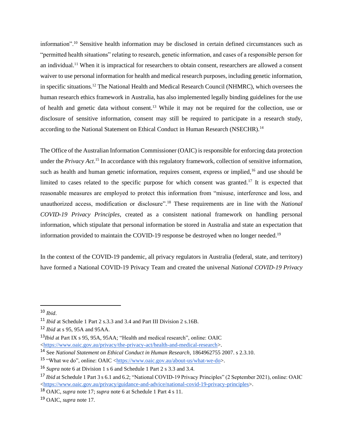information".<sup>10</sup> Sensitive health information may be disclosed in certain defined circumstances such as "permitted health situations" relating to research, genetic information, and cases of a responsible person for an individual.<sup>11</sup> When it is impractical for researchers to obtain consent, researchers are allowed a consent waiver to use personal information for health and medical research purposes, including genetic information, in specific situations.<sup>12</sup> The National Health and Medical Research Council (NHMRC), which oversees the human research ethics framework in Australia, has also implemented legally binding guidelines for the use of health and genetic data without consent*.* <sup>13</sup> While it may not be required for the collection, use or disclosure of sensitive information, consent may still be required to participate in a research study, according to the National Statement on Ethical Conduct in Human Research (NSECHR).<sup>14</sup>

The Office of the Australian Information Commissioner (OAIC) is responsible for enforcing data protection under the *Privacy Act*. <sup>15</sup> In accordance with this regulatory framework, collection of sensitive information, such as health and human genetic information, requires consent, express or implied,<sup>16</sup> and use should be limited to cases related to the specific purpose for which consent was granted.<sup>17</sup> It is expected that reasonable measures are employed to protect this information from "misuse, interference and loss, and unauthorized access, modification or disclosure".<sup>18</sup> These requirements are in line with the *National COVID-19 Privacy Principles*, created as a consistent national framework on handling personal information, which stipulate that personal information be stored in Australia and state an expectation that information provided to maintain the COVID-19 response be destroyed when no longer needed.<sup>19</sup>

In the context of the COVID-19 pandemic, all privacy regulators in Australia (federal, state, and territory) have formed a National COVID-19 Privacy Team and created the universal *National COVID-19 Privacy* 

<sup>10</sup> *Ibid*.

<sup>11</sup> *Ibid* at Schedule 1 Part 2 s.3.3 and 3.4 and Part III Division 2 s.16B.

<sup>12</sup> *Ibid* at s 95, 95A and 95AA.

<sup>13</sup>*Ibid* at Part IX s 95, 95A, 95AA[; "Health and medical research", online: OAIC](https://www.zotero.org/google-docs/?w9TXhn) [<](https://www.zotero.org/google-docs/?w9TXhn)<https://www.oaic.gov.au/privacy/the-privacy-act/health-and-medical-research>[>.](https://www.zotero.org/google-docs/?w9TXhn)

<sup>14</sup> See *National Statement on Ethical Conduct in Human Research*, 1864962755 2007. s 2.3.10.

<sup>&</sup>lt;sup>15</sup> "What we do", online: OAIC [<https://www.oaic.gov.au/about-us/what-we-do>](https://www.oaic.gov.au/about-us/what-we-do).

<sup>16</sup> *Supra* note 6 at Division 1 s 6 and Schedule 1 Part 2 s 3.3 and 3.4.

<sup>17</sup> *Ibid* at Schedule 1 Part 3 s 6.1 and 6.2; "National COVID-19 Privacy Principles" (2 September 2021), online: OAIC [<https://www.oaic.gov.au/privacy/guidance-and-advice/national-covid-19-privacy-principles>](https://www.oaic.gov.au/privacy/guidance-and-advice/national-covid-19-privacy-principles).

<sup>18</sup> OAIC, *supra* note 17; *supra* note 6 at Schedule 1 Part 4 s 11.

<sup>19</sup> OAIC, *supra* note 17.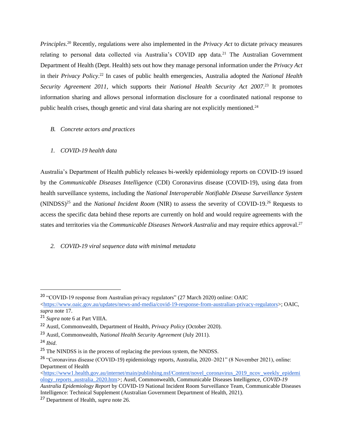*Principles*. <sup>20</sup> Recently, regulations were also implemented in the *Privacy Act* to dictate privacy measures relating to personal data collected via Australia's COVID app data.<sup>21</sup> The Australian Government Department of Health (Dept. Health) sets out how they manage personal information under the *Privacy Act* in their *Privacy Policy*. <sup>22</sup> In cases of public health emergencies, Australia adopted the *National Health Security Agreement 2011,* which supports their *National Health Security Act 2007*. <sup>23</sup> It promotes information sharing and allows personal information disclosure for a coordinated national response to public health crises, though genetic and viral data sharing are not explicitly mentioned.<sup>24</sup>

*B. Concrete actors and practices*

# *1. COVID-19 health data*

Australia's Department of Health publicly releases bi-weekly epidemiology reports on COVID-19 issued by the *Communicable Diseases Intelligence* (CDI) Coronavirus disease (COVID-19), using data from health surveillance systems, including the *National Interoperable Notifiable Disease Surveillance System* (NINDSS)<sup>25</sup> and the *National Incident Room* (NIR) to assess the severity of COVID-19.<sup>26</sup> Requests to access the specific data behind these reports are currently on hold and would require agreements with the states and territories via the *Communicable Diseases Network Australia* and may require ethics approval. 27

# *2. COVID-19 viral sequence data with minimal metadata*

<sup>&</sup>lt;sup>20</sup> "COVID-19 response from Australian privacy regulators" (27 March 2020) online: OAIC

 $\langle$ https://www.oaic.gov.au/updates/news-and-media/covid-19-response-from-australian-privacy-regulators>; OAIC, *supra* note 17.

<sup>21</sup> *Supra* note 6 at Part VIIIA.

<sup>22</sup> Austl, Commonwealth, Department of Health, *Privacy Policy* (October 2020).

<sup>23</sup> Austl, Commonwealth, *National Health Security Agreement* (July 2011).

<sup>24</sup> *Ibid*.

<sup>&</sup>lt;sup>25</sup> The NINDSS is in the process of replacing the previous system, the NNDSS.

<sup>26</sup> "Coronavirus disease (COVID-19) epidemiology reports, Australia, 2020–2021" (8 November 2021), online: Department of Health

[<sup>&</sup>lt;https://www1.health.gov.au/internet/main/publishing.nsf/Content/novel\\_coronavirus\\_2019\\_ncov\\_weekly\\_epidemi](https://www1.health.gov.au/internet/main/publishing.nsf/Content/novel_coronavirus_2019_ncov_weekly_epidemiology_reports_australia_2020.htm) [ology\\_reports\\_australia\\_2020.htm>](https://www1.health.gov.au/internet/main/publishing.nsf/Content/novel_coronavirus_2019_ncov_weekly_epidemiology_reports_australia_2020.htm); Austl, Commonwealth, Communicable Diseases Intelligence, *COVID-19 Australia Epidemiology Report* by COVID-19 National Incident Room Surveillance Team, Communicable Diseases Intelligence: Technical Supplement (Australian Government Department of Health, 2021).

<sup>27</sup> Department of Health, *supra* note 26.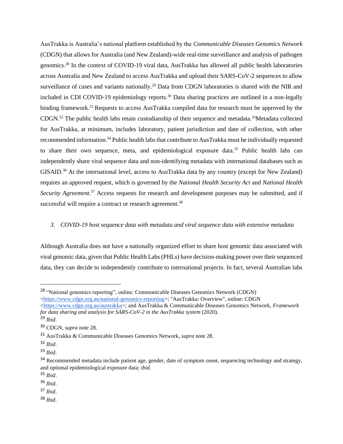AusTrakka is Australia's national platform established by the *Communicable Diseases Genomics Network* (CDGN) that allows for Australia (and New Zealand)-wide real-time surveillance and analysis of pathogen genomics.<sup>28</sup> In the context of COVID-19 viral data, AusTrakka has allowed all public health laboratories across Australia and New Zealand to access AusTrakka and upload their SARS-CoV-2 sequences to allow surveillance of cases and variants nationally.<sup>29</sup> Data from CDGN laboratories is shared with the NIR and included in CDI COVID-19 epidemiology reports.<sup>30</sup> Data sharing practices are outlined in a non-legally binding framework.<sup>31</sup> Requests to access AusTrakka compiled data for research must be approved by the CDGN.<sup>32</sup> The public health labs retain custodianship of their sequence and metadata.<sup>33</sup>Metadata collected for AusTrakka, at minimum, includes laboratory, patient jurisdiction and date of collection, with other recommended information.<sup>34</sup> Public health labs that contribute to AusTrakka must be individually requested to share their own sequence, meta, and epidemiological exposure data.<sup>35</sup> Public health labs can independently share viral sequence data and non-identifying metadata with international databases such as GISAID.<sup>36</sup> At the international level, access to AusTrakka data by any country (except for New Zealand) requires an approved request, which is governed by the *National Health Security Act* and *National Health*  Security Agreement.<sup>37</sup> Access requests for research and development purposes may be submitted, and if successful will require a contract or research agreement.<sup>38</sup>

#### *3. COVID-19 host sequence data with metadata and viral sequence data with extensive metadata*

Although Australia does not have a nationally organized effort to share host genomic data associated with viral genomic data, given that Public Health Labs (PHLs) have decision-making power over their sequenced data, they can decide to independently contribute to international projects. In fact, several Australian labs

[<https://www.cdgn.org.au/austrakka>](https://www.cdgn.org.au/austrakka); and AusTrakka & Communicable Diseases Genomics Network, *Framework for data sharing and analysis for SARS-CoV-2 in the AusTrakka system* (2020).

<sup>35</sup> *Ibid*.

<sup>37</sup> *Ibid*.

<sup>38</sup> *Ibid*.

<sup>28</sup> "National genomics reporting", online: Communicable Diseases Genomics Network (CDGN) [<https://www.cdgn.org.au/national-genomics-reporting>](https://www.cdgn.org.au/national-genomics-reporting); "AusTrakka: Overview", online: CDGN

<sup>29</sup> *Ibid*.

<sup>30</sup> CDGN, *supra* note 28.

<sup>31</sup> AusTrakka & Communicable Diseases Genomics Network, *supra* note 28.

<sup>32</sup> *Ibid*.

<sup>33</sup> *Ibid*.

<sup>&</sup>lt;sup>34</sup> Recommended metadata include patient age, gender, date of symptom onset, sequencing technology and strategy, and optional epidemiological exposure data; *ibid*.

<sup>36</sup> *Ibid*.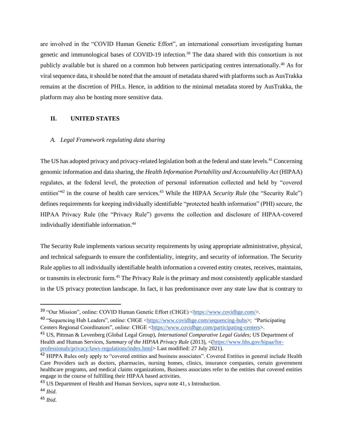are involved in the "COVID Human Genetic Effort", an international consortium investigating human genetic and immunological bases of COVID-19 infection.<sup>39</sup> The data shared with this consortium is not publicly available but is shared on a common hub between participating centres internationally.<sup>40</sup> As for viral sequence data, it should be noted that the amount of metadata shared with platforms such as AusTrakka remains at the discretion of PHLs. Hence, in addition to the minimal metadata stored by AusTrakka, the platform may also be hosting more sensitive data.

#### **II. UNITED STATES**

#### *A. Legal Framework regulating data sharing*

The US has adopted privacy and privacy-related legislation both at the federal and state levels.<sup>41</sup> Concerning genomic information and data sharing, the *Health Information Portability and Accountability Act* (HIPAA) regulates, at the federal level, the protection of personal information collected and held by "covered entities<sup>"42</sup> in the course of health care services.<sup>43</sup> While the HIPAA *Security Rule* (the "Security Rule") defines requirements for keeping individually identifiable "protected health information" (PHI) secure, the HIPAA Privacy Rule (the "Privacy Rule") governs the collection and disclosure of HIPAA-covered individually identifiable information.<sup>44</sup>

The Security Rule implements various security requirements by using appropriate administrative, physical, and technical safeguards to ensure the confidentiality, integrity, and security of information. The Security Rule applies to all individually identifiable health information a covered entity creates, receives, maintains, or transmits in electronic form.<sup>45</sup> The Privacy Rule is the primary and most consistently applicable standard in the US privacy protection landscape. In fact, it has predominance over any state law that is contrary to

<sup>39 &</sup>quot;Our Mission", online: COVID Human Genetic Effort (CHGE) [<https://www.covidhge.com/>](https://www.covidhge.com/).

<sup>40 &</sup>quot;Sequencing Hub Leaders", online: CHGE [<https://www.covidhge.com/sequencing-hubs>](https://www.covidhge.com/sequencing-hubs); "Participating Centers Regional Coordinators", online: CHGE [<https://www.covidhge.com/participating-centers>](https://www.covidhge.com/participating-centers).

<sup>41</sup> US, Pittman & Levenberg (Global Legal Group), *International Comparative Legal Guides*; US Department of Health and Human Services, *Summary of the HIPAA Privacy Rule* (2013), <[\(https://www.hhs.gov/hipaa/for](https://www.hhs.gov/hipaa/for-professionals/privacy/laws-regulations/index.html)[professionals/privacy/laws-regulations/index.html>](https://www.hhs.gov/hipaa/for-professionals/privacy/laws-regulations/index.html) Last modified: 27 July 2021).

<sup>&</sup>lt;sup>42</sup> HIPPA Rules only apply to "covered entities and business associates". Covered Entities in general include Health Care Providers such as doctors, pharmacies, nursing homes, clinics, insurance companies, certain government healthcare programs, and medical claims organizations, Business associates refer to the entities that covered entities engage in the course of fulfilling their HIPAA based activities.

<sup>43</sup> US Department of Health and Human Services, *supra* note 41, s Introduction.

<sup>44</sup> *Ibid*.

<sup>45</sup> *Ibid.*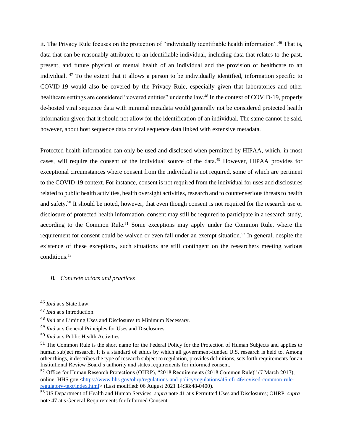it. The Privacy Rule focuses on the protection of "individually identifiable health information".<sup>46</sup> That is, data that can be reasonably attributed to an identifiable individual, including data that relates to the past, present, and future physical or mental health of an individual and the provision of healthcare to an individual. <sup>47</sup> To the extent that it allows a person to be individually identified, information specific to COVID-19 would also be covered by the Privacy Rule, especially given that laboratories and other healthcare settings are considered "covered entities" under the law.<sup>48</sup> In the context of COVID-19, properly de-hosted viral sequence data with minimal metadata would generally not be considered protected health information given that it should not allow for the identification of an individual. The same cannot be said, however, about host sequence data or viral sequence data linked with extensive metadata.

Protected health information can only be used and disclosed when permitted by HIPAA, which, in most cases, will require the consent of the individual source of the data.<sup>49</sup> However, HIPAA provides for exceptional circumstances where consent from the individual is not required, some of which are pertinent to the COVID-19 context. For instance, consent is not required from the individual for uses and disclosures related to public health activities, health oversight activities, research and to counter serious threats to health and safety.<sup>50</sup> It should be noted, however, that even though consent is not required for the research use or disclosure of protected health information, consent may still be required to participate in a research study, according to the Common Rule.<sup>51</sup> Some exceptions may apply under the Common Rule, where the requirement for consent could be waived or even fall under an exempt situation.<sup>52</sup> In general, despite the existence of these exceptions, such situations are still contingent on the researchers meeting various conditions. 53

#### *B. Concrete actors and practices*

<sup>46</sup> *Ibid* at s State Law.

<sup>47</sup> *Ibid* at s Introduction.

<sup>48</sup> *Ibid* at s Limiting Uses and Disclosures to Minimum Necessary.

<sup>49</sup> *Ibid* at s General Principles for Uses and Disclosures.

<sup>50</sup> *Ibid* at s Public Health Activities.

<sup>&</sup>lt;sup>51</sup> The Common Rule is the short name for the Federal Policy for the Protection of Human Subjects and applies to human subject research. It is a standard of ethics by which all government-funded U.S. research is held to. Among other things, it describes the type of research subject to regulation, provides definitions, sets forth requirements for an Institutional Review Board's authority and states requirements for informed consent.

<sup>52</sup> Office for Human Research Protections (OHRP), "2018 Requirements (2018 Common Rule)" (7 March 2017), online: HHS.gov [<https://www.hhs.gov/ohrp/regulations-and-policy/regulations/45-cfr-46/revised-common-rule](https://www.hhs.gov/ohrp/regulations-and-policy/regulations/45-cfr-46/revised-common-rule-regulatory-text/index.html)[regulatory-text/index.html>](https://www.hhs.gov/ohrp/regulations-and-policy/regulations/45-cfr-46/revised-common-rule-regulatory-text/index.html) (Last modified: 06 August 2021 14:38:48-0400).

<sup>53</sup> US Department of Health and Human Services, *supra* note 41 at s Permitted Uses and Disclosures; OHRP, *supra* note 47 at s General Requirements for Informed Consent.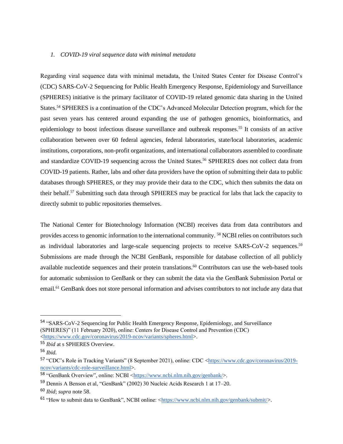#### *1. COVID-19 viral sequence data with minimal metadata*

Regarding viral sequence data with minimal metadata, the United States Center for Disease Control's (CDC) SARS-CoV-2 Sequencing for Public Health Emergency Response, Epidemiology and Surveillance (SPHERES) initiative is the primary facilitator of COVID-19 related genomic data sharing in the United States.<sup>54</sup> SPHERES is a continuation of the CDC's Advanced Molecular Detection program, which for the past seven years has centered around expanding the use of pathogen genomics, bioinformatics, and epidemiology to boost infectious disease surveillance and outbreak responses.<sup>55</sup> It consists of an active collaboration between over 60 federal agencies, federal laboratories, state/local laboratories, academic institutions, corporations, non-profit organizations, and international collaborators assembled to coordinate and standardize COVID-19 sequencing across the United States.<sup>56</sup> SPHERES does not collect data from COVID-19 patients. Rather, labs and other data providers have the option of submitting their data to public databases through SPHERES, or they may provide their data to the CDC, which then submits the data on their behalf.<sup>57</sup> Submitting such data through SPHERES may be practical for labs that lack the capacity to directly submit to public repositories themselves.

The National Center for Biotechnology Information (NCBI) receives data from data contributors and provides access to genomic information to the international community. <sup>58</sup> NCBI relies on contributors such as individual laboratories and large-scale sequencing projects to receive SARS-CoV-2 sequences.<sup>59</sup> Submissions are made through the NCBI GenBank, responsible for database collection of all publicly available nucleotide sequences and their protein translations.<sup>60</sup> Contributors can use the web-based tools for automatic submission to GenBank or they can submit the data via the GenBank Submission Portal or email.<sup>61</sup> GenBank does not store personal information and advises contributors to not include any data that

<sup>54</sup> "SARS-CoV-2 Sequencing for Public Health Emergency Response, Epidemiology, and Surveillance (SPHERES)" (11 February 2020), online: Centers for Disease Control and Prevention (CDC) [<https://www.cdc.gov/coronavirus/2019-ncov/variants/spheres.html>](https://www.cdc.gov/coronavirus/2019-ncov/variants/spheres.html).

<sup>55</sup> *Ibid* at s SPHERES Overview.

<sup>56</sup> *Ibid.*

<sup>57 &</sup>quot;CDC's Role in Tracking Variants" (8 September 2021), online: CDC [<https://www.cdc.gov/coronavirus/2019](https://www.cdc.gov/coronavirus/2019-ncov/variants/cdc-role-surveillance.html) [ncov/variants/cdc-role-surveillance.html>](https://www.cdc.gov/coronavirus/2019-ncov/variants/cdc-role-surveillance.html).

<sup>58</sup> "GenBank Overview", online: NCBI [<https://www.ncbi.nlm.nih.gov/genbank/>](https://www.ncbi.nlm.nih.gov/genbank/).

<sup>59</sup> Dennis A Benson et al, "GenBank" (2002) 30 Nucleic Acids Research 1 at 17–20.

<sup>60</sup> *Ibid*; *supra* note 58.

<sup>&</sup>lt;sup>61</sup> "How to submit data to GenBank", NCBI online: [<https://www.ncbi.nlm.nih.gov/genbank/submit/>](https://www.ncbi.nlm.nih.gov/genbank/submit/).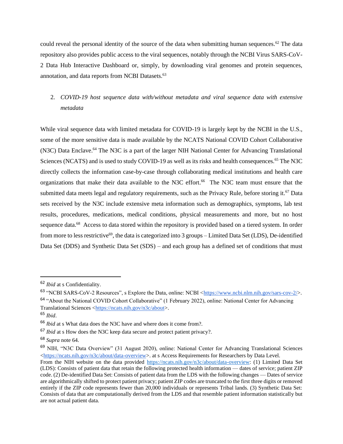could reveal the personal identity of the source of the data when submitting human sequences.<sup>62</sup> The data repository also provides public access to the viral sequences, notably through the NCBI Virus SARS-CoV-2 Data Hub Interactive Dashboard or, simply, by downloading viral genomes and protein sequences, annotation, and data reports from NCBI Datasets.<sup>63</sup>

# 2. *COVID-19 host sequence data with/without metadata and viral sequence data with extensive metadata*

While viral sequence data with limited metadata for COVID-19 is largely kept by the NCBI in the U.S., some of the more sensitive data is made available by the NCATS National COVID Cohort Collaborative (N3C) Data Enclave.<sup>64</sup> The N3C is a part of the larger NIH National Center for Advancing Translational Sciences (NCATS) and is used to study COVID-19 as well as its risks and health consequences.<sup>65</sup> The N3C directly collects the information case-by-case through collaborating medical institutions and health care organizations that make their data available to the N3C effort.<sup>66</sup> The N3C team must ensure that the submitted data meets legal and regulatory requirements, such as the Privacy Rule, before storing it.<sup>67</sup> Data sets received by the N3C include extensive meta information such as demographics, symptoms, lab test results, procedures, medications, medical conditions, physical measurements and more, but no host sequence data.<sup>68</sup> Access to data stored within the repository is provided based on a tiered system. In order from more to less restrictive<sup>69</sup>, the data is categorized into 3 groups - Limited Data Set (LDS), De-identified Data Set (DDS) and Synthetic Data Set (SDS) – and each group has a defined set of conditions that must

<sup>62</sup> *Ibid* at s Confidentiality.

<sup>63</sup> "NCBI SARS-CoV-2 Resources", s Explore the Data, online: NCBI [<https://www.ncbi.nlm.nih.gov/sars-cov-2/>](https://www.ncbi.nlm.nih.gov/sars-cov-2/). <sup>64</sup> "About the National COVID Cohort Collaborative" (1 February 2022), online: National Center for Advancing Translational Sciences [<https://ncats.nih.gov/n3c/about>](https://ncats.nih.gov/n3c/about).

<sup>65</sup> *Ibid*.

<sup>66</sup> *Ibid* at s What data does the N3C have and where does it come from?.

<sup>67</sup> *Ibid* at s How does the N3C keep data secure and protect patient privacy?.

<sup>68</sup> *Supra* note 64.

<sup>69</sup> NIH, "N3C Data Overview" (31 August 2020), online: National Center for Advancing Translational Sciences [<https://ncats.nih.gov/n3c/about/data-overview>](https://ncats.nih.gov/n3c/about/data-overview). at s Access Requirements for Researchers by Data Level.

From the NIH website on the data provided [https://ncats.nih.gov/n3c/about/data-overview:](https://ncats.nih.gov/n3c/about/data-overview) (1) Limited Data Set (LDS): Consists of patient data that retain the following protected health information — dates of service; patient ZIP code. (2) De-identified Data Set: Consists of patient data from the LDS with the following changes — Dates of service are algorithmically shifted to protect patient privacy; patient ZIP codes are truncated to the first three digits or removed entirely if the ZIP code represents fewer than 20,000 individuals or represents Tribal lands. (3) Synthetic Data Set: Consists of data that are computationally derived from the LDS and that resemble patient information statistically but are not actual patient data.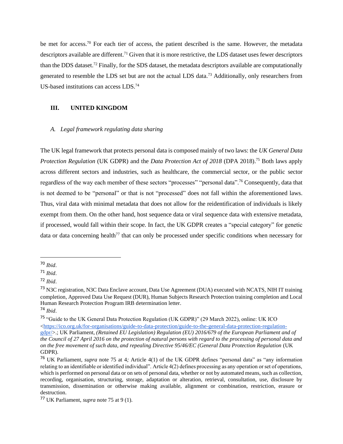be met for access.<sup>70</sup> For each tier of access, the patient described is the same. However, the metadata descriptors available are different.<sup>71</sup> Given that it is more restrictive, the LDS dataset uses fewer descriptors than the DDS dataset.<sup>72</sup> Finally, for the SDS dataset, the metadata descriptors available are computationally generated to resemble the LDS set but are not the actual LDS data.<sup>73</sup> Additionally, only researchers from US-based institutions can access LDS.<sup>74</sup>

#### **III. UNITED KINGDOM**

#### *A. Legal framework regulating data sharing*

The UK legal framework that protects personal data is composed mainly of two laws: the *UK General Data Protection Regulation* (UK GDPR) and the *Data Protection Act of 2018* (DPA 2018).<sup>75</sup> Both laws apply across different sectors and industries, such as healthcare, the commercial sector, or the public sector regardless of the way each member of these sectors "processes" "personal data".<sup>76</sup> Consequently, data that is not deemed to be "personal" or that is not "processed" does not fall within the aforementioned laws. Thus, viral data with minimal metadata that does not allow for the reidentification of individuals is likely exempt from them. On the other hand, host sequence data or viral sequence data with extensive metadata, if processed, would fall within their scope. In fact, the UK GDPR creates a "special category" for genetic data or data concerning health<sup> $77$ </sup> that can only be processed under specific conditions when necessary for

<sup>70</sup> *Ibid*.

<sup>71</sup> *Ibid*.

<sup>72</sup> *Ibid*.

<sup>73</sup> N3C registration, N3C Data Enclave account, Data Use Agreement (DUA) executed with NCATS, NIH IT training completion, Approved Data Use Request (DUR), Human Subjects Research Protection training completion and Local Human Research Protection Program IRB determination letter. <sup>74</sup> *Ibid*.

<sup>75</sup> "Guide to the UK General Data Protection Regulation (UK GDPR)" (29 March 2022), online: UK ICO  $\langle$ https://ico.org.uk/for-organisations/guide-to-data-protection/guide-to-the-general-data-protection-regulation[gdpr/>](https://ico.org.uk/for-organisations/guide-to-data-protection/guide-to-the-general-data-protection-regulation-gdpr/).; UK Parliament, *(Retained EU Legislation) Regulation (EU) 2016/679 of the European Parliament and of the Council of 27 April 2016 on the protection of natural persons with regard to the processing of personal data and on the free movement of such data, and repealing Directive 95/46/EC (General Data Protection Regulation* (UK GDPR).

<sup>76</sup> UK Parliament, *supra* note 75 at 4*;* Article 4(1) of the UK GDPR defines "personal data" as "any information relating to an identifiable or identified individual". Article 4(2) defines processing as any operation or set of operations, which is performed on personal data or on sets of personal data, whether or not by automated means, such as collection, recording, organisation, structuring, storage, adaptation or alteration, retrieval, consultation, use, disclosure by transmission, dissemination or otherwise making available, alignment or combination, restriction, erasure or destruction.

<sup>77</sup> UK Parliament, *supra* note 75 at 9 (1).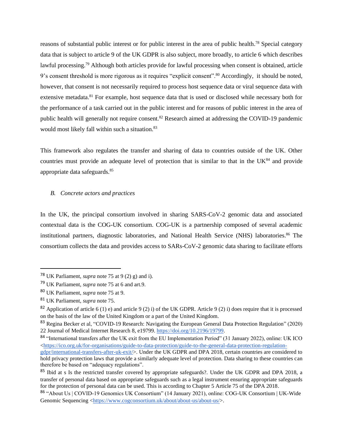reasons of substantial public interest or for public interest in the area of public health.<sup>78</sup> Special category data that is subject to article 9 of the UK GDPR is also subject, more broadly, to article 6 which describes lawful processing.<sup>79</sup> Although both articles provide for lawful processing when consent is obtained, article 9's consent threshold is more rigorous as it requires "explicit consent".<sup>80</sup> Accordingly, it should be noted, however, that consent is not necessarily required to process host sequence data or viral sequence data with extensive metadata.<sup>81</sup> For example, host sequence data that is used or disclosed while necessary both for the performance of a task carried out in the public interest and for reasons of public interest in the area of public health will generally not require consent.<sup>82</sup> Research aimed at addressing the COVID-19 pandemic would most likely fall within such a situation.<sup>83</sup>

This framework also regulates the transfer and sharing of data to countries outside of the UK. Other countries must provide an adequate level of protection that is similar to that in the UK<sup>84</sup> and provide appropriate data safeguards.<sup>85</sup>

#### *B. Concrete actors and practices*

In the UK, the principal consortium involved in sharing SARS-CoV-2 genomic data and associated contextual data is the COG-UK consortium. COG-UK is a partnership composed of several academic institutional partners, diagnostic laboratories, and National Health Service (NHS) laboratories.<sup>86</sup> The consortium collects the data and provides access to SARs-CoV-2 genomic data sharing to facilitate efforts

<sup>78</sup> UK Parliament, *supra* note 75 at 9 (2) g) and i).

<sup>79</sup> UK Parliament, *supra* note 75 at 6 and art.9.

<sup>80</sup> UK Parliament, *supra* note 75 at 9.

<sup>81</sup> UK Parliament, *supra* note 75.

<sup>&</sup>lt;sup>82</sup> Application of article 6 (1) e) and article 9 (2) i) of the UK GDPR. Article 9 (2) i) does require that it is processed on the basis of the law of the United Kingdom or a part of the United Kingdom.

<sup>&</sup>lt;sup>83</sup> Regina Becker et al, "COVID-19 Research: Navigating the European General Data Protection Regulation" (2020) 22 Journal of Medical Internet Research 8, e19799[. https://doi.org/10.2196/19799.](https://doi.org/10.2196/19799)

<sup>84 &</sup>quot;International transfers after the UK exit from the EU Implementation Period" (31 January 2022), online: UK ICO  $\langle$ https://ico.org.uk/for-organisations/guide-to-data-protection/guide-to-the-general-data-protection-regulation-

[gdpr/international-transfers-after-uk-exit/>](https://ico.org.uk/for-organisations/guide-to-data-protection/guide-to-the-general-data-protection-regulation-gdpr/international-transfers-after-uk-exit/). Under the UK GDPR and DPA 2018, certain countries are considered to hold privacy protection laws that provide a similarly adequate level of protection. Data sharing to these countries can therefore be based on "adequacy regulations".

<sup>&</sup>lt;sup>85</sup> Ibid at s Is the restricted transfer covered by appropriate safeguards?. Under the UK GDPR and DPA 2018, a transfer of personal data based on appropriate safeguards such as a legal instrument ensuring appropriate safeguards for the protection of personal data can be used. This is according to Chapter 5 Article 75 of the DPA 2018.

<sup>86</sup> "About Us | COVID-19 Genomics UK Consortium" (14 January 2021), online: COG-UK Consortium | UK-Wide Genomic Sequencing [<https://www.cogconsortium.uk/about/about-us/about-us/>](https://www.cogconsortium.uk/about/about-us/about-us/).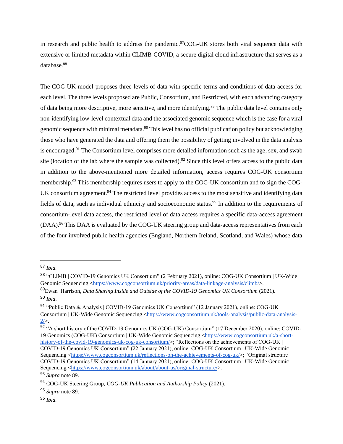in research and public health to address the pandemic.<sup>87</sup>COG-UK stores both viral sequence data with extensive or limited metadata within CLIMB-COVID, a secure digital cloud infrastructure that serves as a database.<sup>88</sup>

The COG-UK model proposes three levels of data with specific terms and conditions of data access for each level. The three levels proposed are Public, Consortium, and Restricted, with each advancing category of data being more descriptive, more sensitive, and more identifying.<sup>89</sup> The public data level contains only non-identifying low-level contextual data and the associated genomic sequence which is the case for a viral genomic sequence with minimal metadata.<sup>90</sup> This level has no official publication policy but acknowledging those who have generated the data and offering them the possibility of getting involved in the data analysis is encouraged.<sup>91</sup> The Consortium level comprises more detailed information such as the age, sex, and swab site (location of the lab where the sample was collected).<sup>92</sup> Since this level offers access to the public data in addition to the above-mentioned more detailed information, access requires COG-UK consortium membership.<sup>93</sup> This membership requires users to apply to the COG-UK consortium and to sign the COG-UK consortium agreement.<sup>94</sup> The restricted level provides access to the most sensitive and identifying data fields of data, such as individual ethnicity and socioeconomic status.<sup>95</sup> In addition to the requirements of consortium-level data access, the restricted level of data access requires a specific data-access agreement (DAA).<sup>96</sup> This DAA is evaluated by the COG-UK steering group and data-access representatives from each of the four involved public health agencies (England, Northern Ireland, Scotland, and Wales) whose data

<sup>87</sup> *Ibid.* 

<sup>88</sup> "CLIMB | COVID-19 Genomics UK Consortium" (2 February 2021), online: COG-UK Consortium | UK-Wide Genomic Sequencing [<https://www.cogconsortium.uk/priority-areas/data-linkage-analysis/climb/>](https://www.cogconsortium.uk/priority-areas/data-linkage-analysis/climb/).

<sup>89</sup>Ewan Harrison, *Data Sharing Inside and Outside of the COVID-19 Genomics UK Consortium* (2021). <sup>90</sup> *Ibid*.

<sup>91</sup> "Public Data & Analysis | COVID-19 Genomics UK Consortium" (12 January 2021), online: COG-UK Consortium | UK-Wide Genomic Sequencing [<https://www.cogconsortium.uk/tools-analysis/public-data-analysis-](https://www.cogconsortium.uk/tools-analysis/public-data-analysis-2/) $2/$ .

<sup>&</sup>lt;sup>92</sup> "A short history of the COVID-19 Genomics UK (COG-UK) Consortium" (17 December 2020), online: COVID-19 Genomics (COG-UK) Consortium | UK-Wide Genomic Sequencing [<https://www.cogconsortium.uk/a-short](https://www.cogconsortium.uk/a-short-history-of-the-covid-19-genomics-uk-cog-uk-consortium/)[history-of-the-covid-19-genomics-uk-cog-uk-consortium/>](https://www.cogconsortium.uk/a-short-history-of-the-covid-19-genomics-uk-cog-uk-consortium/); "Reflections on the achievements of COG-UK | COVID-19 Genomics UK Consortium" (22 January 2021), online: COG-UK Consortium | UK-Wide Genomic Sequencing [<https://www.cogconsortium.uk/reflections-on-the-achievements-of-cog-uk/>](https://www.cogconsortium.uk/reflections-on-the-achievements-of-cog-uk/); "Original structure | COVID-19 Genomics UK Consortium" (14 January 2021), online: COG-UK Consortium | UK-Wide Genomic Sequencing [<https://www.cogconsortium.uk/about/about-us/original-structure/>](https://www.cogconsortium.uk/about/about-us/original-structure/).

<sup>93</sup> *Supra* note 89.

<sup>94</sup> COG-UK Steering Group, *COG-UK Publication and Authorship Policy* (2021).

<sup>95</sup> *Supra* note 89.

<sup>96</sup> *Ibid.*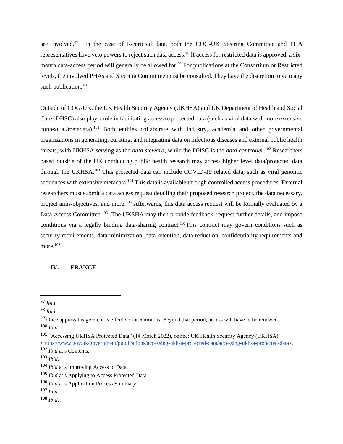are involved.<sup>97</sup> In the case of Restricted data, both the COG-UK Steering Committee and PHA representatives have veto powers to reject such data access.<sup>98</sup> If access for restricted data is approved, a sixmonth data-access period will generally be allowed for.<sup>99</sup> For publications at the Consortium or Restricted levels, the involved PHAs and Steering Committee must be consulted. They have the discretion to veto any such publication.<sup>100</sup>

Outside of COG-UK, the UK Health Security Agency (UKHSA) and UK Department of Health and Social Care (DHSC) also play a role in facilitating access to protected data (such as viral data with more extensive contextual/metadata).<sup>101</sup> Both entities collaborate with industry, academia and other governmental organizations in generating, curating, and integrating data on infectious diseases and external public health threats, with UKHSA serving as the *data steward*, while the DHSC is the *data controller*. <sup>102</sup> Researchers based outside of the UK conducting public health research may access higher level data/protected data through the UKHSA.<sup>103</sup> This protected data can include COVID-19 related data, such as viral genomic sequences with extensive metadata.<sup>104</sup> This data is available through controlled access procedures. External researchers must submit a data access request detailing their proposed research project, the data necessary, project aims/objectives, and more.<sup>105</sup> Afterwards, this data access request will be formally evaluated by a Data Access Committee.<sup>106</sup> The UKSHA may then provide feedback, request further details, and impose conditions via a legally binding data-sharing contract.<sup>107</sup>This contract may govern conditions such as security requirements, data minimization, data retention, data reduction, confidentiality requirements and more.<sup>108</sup>

#### **IV. FRANCE**

<sup>97</sup> *Ibid*.

<sup>98</sup> *Ibid*.

<sup>&</sup>lt;sup>99</sup> Once approval is given, it is effective for 6 months. Beyond that period, access will have to be renewed. <sup>100</sup> *Ibid.*

<sup>101</sup> "Accessing UKHSA Protected Data" (14 March 2022), online: UK Health Security Agency (UKHSA) [<https://www.gov.uk/government/publications/accessing-ukhsa-protected-data/accessing-ukhsa-protected-data>](https://www.gov.uk/government/publications/accessing-ukhsa-protected-data/accessing-ukhsa-protected-data). <sup>102</sup> *Ibid* at s Contents.

<sup>103</sup> *Ibid*.

<sup>104</sup> *Ibid* at s Improving Access to Data.

<sup>105</sup> *Ibid* at s Applying to Access Protected Data.

<sup>106</sup> *Ibid* at s Application Process Summary.

<sup>107</sup> *Ibid*.

<sup>108</sup> *Ibid*.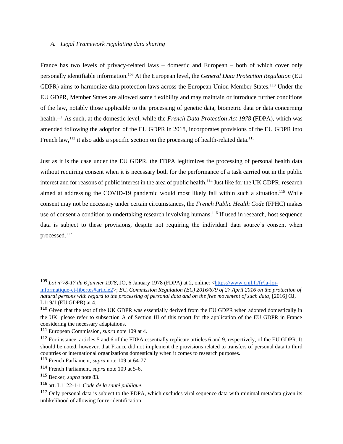#### *A. Legal Framework regulating data sharing*

France has two levels of privacy-related laws – domestic and European – both of which cover only personally identifiable information.<sup>109</sup> At the European level, the *General Data Protection Regulation* (EU GDPR) aims to harmonize data protection laws across the European Union Member States.<sup>110</sup> Under the EU GDPR, Member States are allowed some flexibility and may maintain or introduce further conditions of the law, notably those applicable to the processing of genetic data, biometric data or data concerning health.<sup>111</sup> As such, at the domestic level, while the *French Data Protection Act 1978* (FDPA), which was amended following the adoption of the EU GDPR in 2018, incorporates provisions of the EU GDPR into French law,<sup>112</sup> it also adds a specific section on the processing of health-related data.<sup>113</sup>

Just as it is the case under the EU GDPR, the FDPA legitimizes the processing of personal health data without requiring consent when it is necessary both for the performance of a task carried out in the public interest and for reasons of public interest in the area of public health.<sup>114</sup> Just like for the UK GDPR, research aimed at addressing the COVID-19 pandemic would most likely fall within such a situation.<sup>115</sup> While consent may not be necessary under certain circumstances, the *French Public Health Code* (FPHC) makes use of consent a condition to undertaking research involving humans.<sup>116</sup> If used in research, host sequence data is subject to these provisions, despite not requiring the individual data source's consent when processed.<sup>117</sup>

<sup>109</sup> *Loi n°78-17 du 6 janvier 1978*, JO, 6 January 1978 (FDPA) at 2, online: [<https://www.cnil.fr/fr/la-loi-](https://www.cnil.fr/fr/la-loi-informatique-et-libertes#article2)

[informatique-et-libertes#article2>](https://www.cnil.fr/fr/la-loi-informatique-et-libertes#article2); *EC, Commission Regulation (EC) 2016/679 of 27 April 2016 on the protection of natural persons with regard to the processing of personal data and on the free movement of such data*, [2016] OJ, L119/1 (EU GDPR) at 4.

<sup>&</sup>lt;sup>110</sup> Given that the text of the UK GDPR was essentially derived from the EU GDPR when adopted domestically in the UK, please refer to subsection A of Section III of this report for the application of the EU GDPR in France considering the necessary adaptations.

<sup>111</sup> European Commission, *supra* note 109 at 4.

<sup>112</sup> For instance, articles 5 and 6 of the FDPA essentially replicate articles 6 and 9, respectively, of the EU GDPR. It should be noted, however, that France did not implement the provisions related to transfers of personal data to third countries or international organizations domestically when it comes to research purposes.

<sup>113</sup> French Parliament, *supra* note 109 at 64-77.

<sup>114</sup> French Parliament, *supra* note 109 at 5-6.

<sup>115</sup> Becker, *supra* note 83.

<sup>116</sup> art. L1122-1-1 *Code de la santé publique*.

<sup>&</sup>lt;sup>117</sup> Only personal data is subject to the FDPA, which excludes viral sequence data with minimal metadata given its unlikelihood of allowing for re-identification.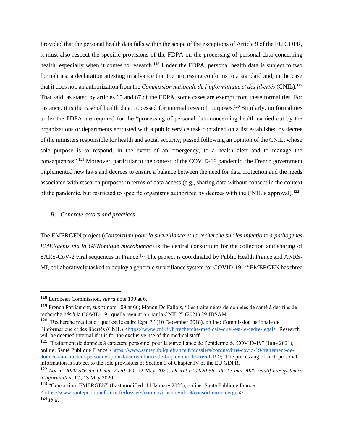Provided that the personal health data falls within the scope of the exceptions of Article 9 of the EU GDPR, it must also respect the specific provisions of the FDPA on the processing of personal data concerning health, especially when it comes to research.<sup>118</sup> Under the FDPA, personal health data is subject to two formalities: a declaration attesting in advance that the processing conforms to a standard and, in the case that it does not, an authorization from the *Commission nationale de l'informatique et des libertés* (CNIL).<sup>119</sup> That said, as stated by articles 65 and 67 of the FDPA, some cases are exempt from these formalities. For instance, it is the case of health data processed for internal research purposes.<sup>120</sup> Similarly, no formalities under the FDPA are required for the "processing of personal data concerning health carried out by the organizations or departments entrusted with a public service task contained on a list established by decree of the ministers responsible for health and social security, passed following an opinion of the CNIL, whose sole purpose is to respond, in the event of an emergency, to a health alert and to manage the consequences".<sup>121</sup> Moreover, particular to the context of the COVID-19 pandemic, the French government implemented new laws and decrees to ensure a balance between the need for data protection and the needs associated with research purposes in terms of data access (e.g., sharing data without consent in the context of the pandemic, but restricted to specific organisms authorized by decrees with the CNIL's approval).<sup>122</sup>

#### *B. Concrete actors and practices*

The EMERGEN project (*Consortium pour la surveillance et la recherche sur les infections à pathogènes EMERgents via la GENomique microbienne*) is the central consortium for the collection and sharing of SARS-CoV-2 viral sequences in France.<sup>123</sup> The project is coordinated by Public Health France and ANRS-MI, collaboratively tasked to deploy a genomic surveillance system for COVID-19.<sup>124</sup> EMERGEN has three

<sup>121</sup> "Traitement de données à caractère personnel pour la surveillance de l'épidémie de COVID-19" (June 2021), online: Santé Publique France [<https://www.santepubliquefrance.fr/dossiers/coronavirus-covid-19/traitement-de](https://www.santepubliquefrance.fr/dossiers/coronavirus-covid-19/traitement-de-donnees-a-caractere-personnel-pour-la-surveillance-de-l-epidemie-de-covid-19)[donnees-a-caractere-personnel-pour-la-surveillance-de-l-epidemie-de-covid-19>](https://www.santepubliquefrance.fr/dossiers/coronavirus-covid-19/traitement-de-donnees-a-caractere-personnel-pour-la-surveillance-de-l-epidemie-de-covid-19); The processing of such personal information is subject to the sole provisions of Section 3 of Chapter IV of the EU GDPR.

<sup>118</sup> European Commission, *supra* note 109 at 6.

<sup>119</sup> French Parliament, *supra* note 109 at 66; Manon De Fallois, "Les traitements de données de santé à des fins de recherche liés à la COVID-19 : quelle régulation par la CNIL ?" (2021) 29 JDSAM.

<sup>120</sup> "Recherche médicale : quel est le cadre légal ?" (10 December 2018), online: Commission nationale de l'informatique et des libertés (CNIL) [<https://www.cnil.fr/fr/recherche-medicale-quel-est-le-cadre-legal>](https://www.cnil.fr/fr/recherche-medicale-quel-est-le-cadre-legal). Research will be deemed internal if it is for the exclusive use of the medical staff.

<sup>122</sup> *Loi n° 2020-546 du 11 mai 2020*, JO, 12 May 2020; *Décret n° 2020-551 du 12 mai 2020 relatif aux systèmes d'information*, JO, 13 May 2020.

<sup>123</sup> "Consortium EMERGEN" (Last modified: 11 January 2022), online: Santé Publique France [<https://www.santepubliquefrance.fr/dossiers/coronavirus-covid-19/consortium-emergen>](https://www.santepubliquefrance.fr/dossiers/coronavirus-covid-19/consortium-emergen). <sup>124</sup> *Ibid*.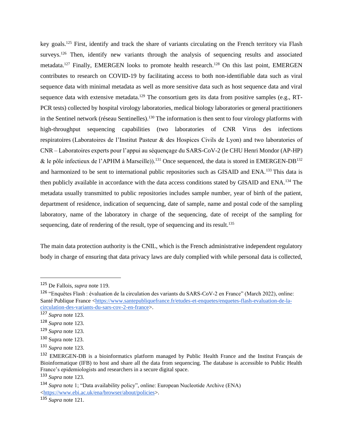key goals.<sup>125</sup> First, identify and track the share of variants circulating on the French territory via Flash surveys.<sup>126</sup> Then, identify new variants through the analysis of sequencing results and associated metadata.<sup>127</sup> Finally, EMERGEN looks to promote health research.<sup>128</sup> On this last point, EMERGEN contributes to research on COVID-19 by facilitating access to both non-identifiable data such as viral sequence data with minimal metadata as well as more sensitive data such as host sequence data and viral sequence data with extensive metadata.<sup>129</sup> The consortium gets its data from positive samples (e.g., RT-PCR tests) collected by hospital virology laboratories, medical biology laboratories or general practitioners in the Sentinel network (réseau Sentinelles).<sup>130</sup> The information is then sent to four virology platforms with high-throughput sequencing capabilities (two laboratories of CNR Virus des infections respiratoires (Laboratoires de l'Institut Pasteur & des Hospices Civils de Lyon) and two laboratories of CNR – Laboratoires experts pour l'appui au séquençage du SARS-CoV-2 (le CHU Henri Mondor (AP-HP) & le pôle infectieux de l'APHM à Marseille).<sup>131</sup> Once sequenced, the data is stored in EMERGEN-DB<sup>132</sup> and harmonized to be sent to international public repositories such as GISAID and ENA.<sup>133</sup> This data is then publicly available in accordance with the data access conditions stated by GISAID and ENA.<sup>134</sup> The metadata usually transmitted to public repositories includes sample number, year of birth of the patient, department of residence, indication of sequencing, date of sample, name and postal code of the sampling laboratory, name of the laboratory in charge of the sequencing, date of receipt of the sampling for sequencing, date of rendering of the result, type of sequencing and its result.<sup>135</sup>

The main data protection authority is the CNIL, which is the French administrative independent regulatory body in charge of ensuring that data privacy laws are duly complied with while personal data is collected,

<sup>125</sup> De Fallois, *supra* note 119.

<sup>126</sup> "Enquêtes Flash : évaluation de la circulation des variants du SARS-CoV-2 en France" (March 2022), online: Santé Publique France [<https://www.santepubliquefrance.fr/etudes-et-enquetes/enquetes-flash-evaluation-de-la](https://www.santepubliquefrance.fr/etudes-et-enquetes/enquetes-flash-evaluation-de-la-circulation-des-variants-du-sars-cov-2-en-france)[circulation-des-variants-du-sars-cov-2-en-france>](https://www.santepubliquefrance.fr/etudes-et-enquetes/enquetes-flash-evaluation-de-la-circulation-des-variants-du-sars-cov-2-en-france).

<sup>127</sup> *Supra* note 123.

<sup>128</sup> *Supra* note 123.

<sup>129</sup> *Supra* note 123.

<sup>130</sup> Supra note 123.

<sup>131</sup> *Supra* note 123.

<sup>132</sup> EMERGEN-DB is a bioinformatics platform managed by Public Health France and the Institut Français de Bioinformatique (IFB) to host and share all the data from sequencing. The database is accessible to Public Health France's epidemiologists and researchers in a secure digital space.

<sup>133</sup> *Supra* note 123.

<sup>134</sup> *Supra* note 1; "Data availability policy", online: European Nucleotide Archive (ENA) [<https://www.ebi.ac.uk/ena/browser/about/policies>](https://www.ebi.ac.uk/ena/browser/about/policies).

<sup>135</sup> *Supra* note 121.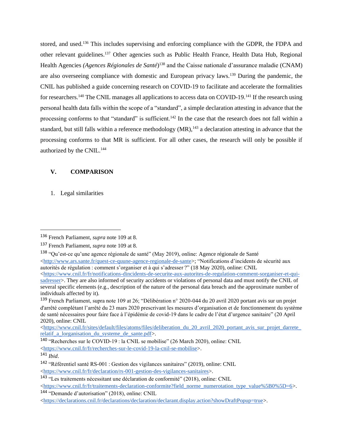stored, and used.<sup>136</sup> This includes supervising and enforcing compliance with the GDPR, the FDPA and other relevant guidelines.<sup>137</sup> Other agencies such as Public Health France, Health Data Hub, Regional Health Agencies *(Agences Régionales de Santé*) <sup>138</sup> and the Caisse nationale d'assurance maladie (CNAM) are also overseeing compliance with domestic and European privacy laws.<sup>139</sup> During the pandemic, the CNIL has published a guide concerning research on COVID-19 to facilitate and accelerate the formalities for researchers.<sup>140</sup> The CNIL manages all applications to access data on COVID-19.<sup>141</sup> If the research using personal health data falls within the scope of a "standard", a simple declaration attesting in advance that the processing conforms to that "standard" is sufficient.<sup>142</sup> In the case that the research does not fall within a standard, but still falls within a reference methodology (MR),<sup>143</sup> a declaration attesting in advance that the processing conforms to that MR is sufficient. For all other cases, the research will only be possible if authorized by the CNIL.<sup>144</sup>

# **V. COMPARISON**

1. Legal similarities

<sup>138</sup> "Qu'est-ce qu'une agence régionale de santé" (May 2019), online: Agence régionale de Santé [<http://www.ars.sante.fr/quest-ce-quune-agence-regionale-de-sante>](http://www.ars.sante.fr/quest-ce-quune-agence-regionale-de-sante); "Notifications d'incidents de sécurité aux autorités de régulation : comment s'organiser et à qui s'adresser ?" (18 May 2020), online: CNIL

[<https://www.cnil.fr/sites/default/files/atoms/files/deliberation\\_du\\_20\\_avril\\_2020\\_portant\\_avis\\_sur\\_projet\\_darrete\\_](https://www.cnil.fr/sites/default/files/atoms/files/deliberation_du_20_avril_2020_portant_avis_sur_projet_darrete_relatif_a_lorganisation_du_systeme_de_sante.pdf) relatif a lorganisation du systeme de sante.pdf>.

<sup>144</sup> "Demande d'autorisation" (2018), online: CNIL

<sup>136</sup> French Parliament, *supra* note 109 at 8.

<sup>137</sup> French Parliament, *supra* note 109 at 8.

 $\langle$ https://www.cnil.fr/fr/notifications-dincidents-de-securite-aux-autorites-de-regulation-comment-sorganiser-et-qui[sadresser>](https://www.cnil.fr/fr/notifications-dincidents-de-securite-aux-autorites-de-regulation-comment-sorganiser-et-qui-sadresser). They are also informed of security accidents or violations of personal data and must notify the CNIL of several specific elements (e.g., description of the nature of the personal data breach and the approximate number of individuals affected by it).

<sup>139</sup> French Parliament, supra note 109 at 26; "Délibération n° 2020-044 du 20 avril 2020 portant avis sur un projet d'arrêté complétant l'arrêté du 23 mars 2020 prescrivant les mesures d'organisation et de fonctionnement du système de santé nécessaires pour faire face à l'épidémie de covid-19 dans le cadre de l'état d'urgence sanitaire" (20 April 2020), online: CNIL

<sup>140</sup> "Recherches sur le COVID-19 : la CNIL se mobilise" (26 March 2020), online: CNIL [<https://www.cnil.fr/fr/recherches-sur-le-covid-19-la-cnil-se-mobilise>](https://www.cnil.fr/fr/recherches-sur-le-covid-19-la-cnil-se-mobilise).

<sup>141</sup> *Ibid*.

<sup>142</sup> "Référentiel santé RS-001 : Gestion des vigilances sanitaires" (2019), online: CNIL [<https://www.cnil.fr/fr/declaration/rs-001-gestion-des-vigilances-sanitaires>](https://www.cnil.fr/fr/declaration/rs-001-gestion-des-vigilances-sanitaires).

<sup>143</sup> "Les traitements nécessitant une déclaration de conformité" (2018), online: CNIL [<https://www.cnil.fr/fr/traitements-declaration-conformite?field\\_norme\\_numerotation\\_type\\_value%5B0%5D=6>](https://www.cnil.fr/fr/traitements-declaration-conformite?field_norme_numerotation_type_value%5B0%5D=6).

[<sup>&</sup>lt;https://declarations.cnil.fr/declarations/declaration/declarant.display.action?showDraftPopup=true>](https://declarations.cnil.fr/declarations/declaration/declarant.display.action?showDraftPopup=true).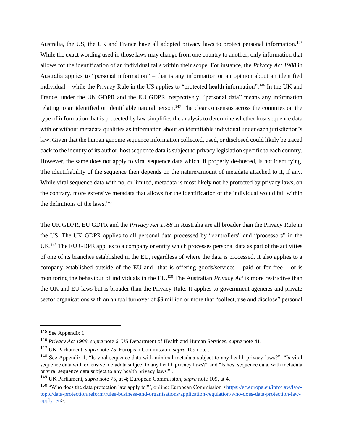Australia, the US, the UK and France have all adopted privacy laws to protect personal information.<sup>145</sup> While the exact wording used in those laws may change from one country to another, only information that allows for the identification of an individual falls within their scope. For instance, the *Privacy Act 1988* in Australia applies to "personal information" – that is any information or an opinion about an identified individual – while the Privacy Rule in the US applies to "protected health information".<sup>146</sup> In the UK and France, under the UK GDPR and the EU GDPR, respectively, "personal data" means any information relating to an identified or identifiable natural person.<sup>147</sup> The clear consensus across the countries on the type of information that is protected by law simplifies the analysis to determine whether host sequence data with or without metadata qualifies as information about an identifiable individual under each jurisdiction's law. Given that the human genome sequence information collected, used, or disclosed could likely be traced back to the identity of its author, host sequence data is subject to privacy legislation specific to each country. However, the same does not apply to viral sequence data which, if properly de-hosted, is not identifying. The identifiability of the sequence then depends on the nature/amount of metadata attached to it, if any. While viral sequence data with no, or limited, metadata is most likely not be protected by privacy laws, on the contrary, more extensive metadata that allows for the identification of the individual would fall within the definitions of the laws. $148$ 

The UK GDPR, EU GDPR and the *Privacy Act 1988* in Australia are all broader than the Privacy Rule in the US. The UK GDPR applies to all personal data processed by "controllers" and "processors" in the UK.<sup>149</sup> The EU GDPR applies to a company or entity which processes personal data as part of the activities of one of its branches established in the EU, regardless of where the data is processed. It also applies to a company established outside of the EU and that is offering goods/services – paid or for free – or is monitoring the behaviour of individuals in the EU.<sup>150</sup> The Australian *Privacy Act* is more restrictive than the UK and EU laws but is broader than the Privacy Rule. It applies to government agencies and private sector organisations with an annual turnover of \$3 million or more that "collect, use and disclose" personal

<sup>145</sup> See Appendix 1.

<sup>146</sup> *Privacy Act 1988*, *supra* note 6; US Department of Health and Human Services, *supra* note 41.

<sup>147</sup> UK Parliament, *supra* note 75; European Commission, *supra* 109 note *.*

<sup>148</sup> See Appendix 1, "Is viral sequence data with minimal metadata subject to any health privacy laws?"; "Is viral sequence data with extensive metadata subject to any health privacy laws?" and "Is host sequence data, with metadata or viral sequence data subject to any health privacy laws?".

<sup>149</sup> UK Parliament, *supra* note 75, at 4; European Commission, *supra* note 109, at 4.

<sup>150 &</sup>quot;Who does the data protection law apply to?", online: European Commission [<https://ec.europa.eu/info/law/law](https://ec.europa.eu/info/law/law-topic/data-protection/reform/rules-business-and-organisations/application-regulation/who-does-data-protection-law-apply_en)[topic/data-protection/reform/rules-business-and-organisations/application-regulation/who-does-data-protection-law](https://ec.europa.eu/info/law/law-topic/data-protection/reform/rules-business-and-organisations/application-regulation/who-does-data-protection-law-apply_en)[apply\\_en>](https://ec.europa.eu/info/law/law-topic/data-protection/reform/rules-business-and-organisations/application-regulation/who-does-data-protection-law-apply_en).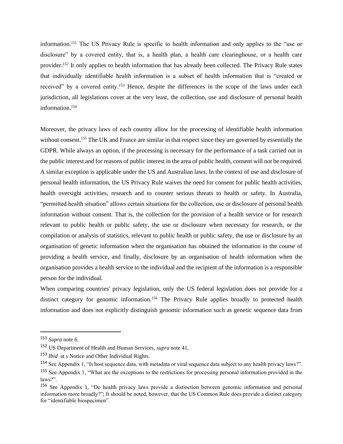information.<sup>151</sup> The US Privacy Rule is specific to health information and only applies to the "use or disclosure" by a covered entity, that is, a health plan, a health care clearinghouse, or a health care provider.<sup>152</sup> It only applies to health information that has already been collected. The Privacy Rule states that individually identifiable health information is a subset of health information that is "created or received" by a covered entity.<sup>153</sup> Hence, despite the differences in the scope of the laws under each jurisdiction, all legislations cover at the very least, the collection, use and disclosure of personal health information.<sup>154</sup>

Moreover, the privacy laws of each country allow for the processing of identifiable health information without consent.<sup>155</sup> The UK and France are similar in that respect since they are governed by essentially the GDPR. While always an option, if the processing is necessary for the performance of a task carried out in the public interest and for reasons of public interest in the area of public health, consent will not be required. A similar exception is applicable under the US and Australian laws. In the context of use and disclosure of personal health information, the US Privacy Rule waives the need for consent for public health activities, health oversight activities, research and to counter serious threats to health or safety. In Australia, "permitted health situation" allows certain situations for the collection, use or disclosure of personal health information without consent. That is, the collection for the provision of a health service or for research relevant to public health or public safety, the use or disclosure when necessary for research, or the compilation or analysis of statistics, relevant to public health or public safety, the use or disclosure by an organisation of genetic information when the organisation has obtained the information in the course of providing a health service, and finally, disclosure by an organisation of health information when the organisation provides a health service to the individual and the recipient of the information is a responsible person for the individual.

When comparing countries' privacy legislation, only the US federal legislation does not provide for a distinct category for genomic information.<sup>156</sup> The Privacy Rule applies broadly to protected health information and does not explicitly distinguish genomic information such as genetic sequence data from

<sup>151</sup> *Supra* note 6.

<sup>152</sup> US Department of Health and Human Services, *supra* note 41.

<sup>153</sup> *Ibid* at s Notice and Other Individual Rights.

<sup>154</sup> See Appendix 1, "Is host sequence data, with metadata or viral sequence data subject to any health privacy laws?". <sup>155</sup> See Appendix 1, "What are the exceptions to the restrictions for processing personal information provided in the laws?".

<sup>156</sup> See Appendix 1, "Do health privacy laws provide a distinction between genomic information and personal information more broadly?"; It should be noted, however, that the US Common Rule does provide a distinct category for "identifiable biospecimen".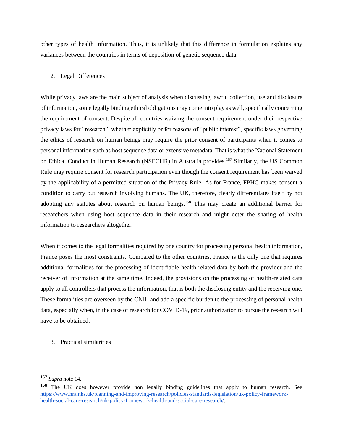other types of health information. Thus, it is unlikely that this difference in formulation explains any variances between the countries in terms of deposition of genetic sequence data.

#### 2. Legal Differences

While privacy laws are the main subject of analysis when discussing lawful collection, use and disclosure of information, some legally binding ethical obligations may come into play as well, specifically concerning the requirement of consent. Despite all countries waiving the consent requirement under their respective privacy laws for "research", whether explicitly or for reasons of "public interest", specific laws governing the ethics of research on human beings may require the prior consent of participants when it comes to personal information such as host sequence data or extensive metadata. That is what the National Statement on Ethical Conduct in Human Research (NSECHR) in Australia provides.<sup>157</sup> Similarly, the US Common Rule may require consent for research participation even though the consent requirement has been waived by the applicability of a permitted situation of the Privacy Rule. As for France, FPHC makes consent a condition to carry out research involving humans. The UK, therefore, clearly differentiates itself by not adopting any statutes about research on human beings.<sup>158</sup> This may create an additional barrier for researchers when using host sequence data in their research and might deter the sharing of health information to researchers altogether.

When it comes to the legal formalities required by one country for processing personal health information, France poses the most constraints. Compared to the other countries, France is the only one that requires additional formalities for the processing of identifiable health-related data by both the provider and the receiver of information at the same time. Indeed, the provisions on the processing of health-related data apply to all controllers that process the information, that is both the disclosing entity and the receiving one. These formalities are overseen by the CNIL and add a specific burden to the processing of personal health data, especially when, in the case of research for COVID-19, prior authorization to pursue the research will have to be obtained.

3. Practical similarities

<sup>157</sup> *Supra* note 14.

<sup>&</sup>lt;sup>158</sup> The UK does however provide non legally binding guidelines that apply to human research. See [https://www.hra.nhs.uk/planning-and-improving-research/policies-standards-legislation/uk-policy-framework](https://www.hra.nhs.uk/planning-and-improving-research/policies-standards-legislation/uk-policy-framework-health-social-care-research/uk-policy-framework-health-and-social-care-research/)[health-social-care-research/uk-policy-framework-health-and-social-care-research/.](https://www.hra.nhs.uk/planning-and-improving-research/policies-standards-legislation/uk-policy-framework-health-social-care-research/uk-policy-framework-health-and-social-care-research/)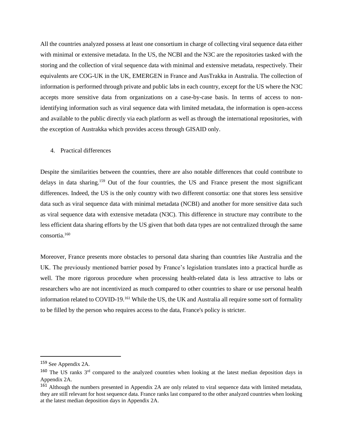All the countries analyzed possess at least one consortium in charge of collecting viral sequence data either with minimal or extensive metadata. In the US, the NCBI and the N3C are the repositories tasked with the storing and the collection of viral sequence data with minimal and extensive metadata, respectively. Their equivalents are COG-UK in the UK, EMERGEN in France and AusTrakka in Australia. The collection of information is performed through private and public labs in each country, except for the US where the N3C accepts more sensitive data from organizations on a case-by-case basis. In terms of access to nonidentifying information such as viral sequence data with limited metadata, the information is open-access and available to the public directly via each platform as well as through the international repositories, with the exception of Austrakka which provides access through GISAID only.

#### 4. Practical differences

Despite the similarities between the countries, there are also notable differences that could contribute to delays in data sharing.<sup>159</sup> Out of the four countries, the US and France present the most significant differences. Indeed, the US is the only country with two different consortia: one that stores less sensitive data such as viral sequence data with minimal metadata (NCBI) and another for more sensitive data such as viral sequence data with extensive metadata (N3C). This difference in structure may contribute to the less efficient data sharing efforts by the US given that both data types are not centralized through the same consortia.<sup>160</sup>

Moreover, France presents more obstacles to personal data sharing than countries like Australia and the UK. The previously mentioned barrier posed by France's legislation translates into a practical hurdle as well. The more rigorous procedure when processing health-related data is less attractive to labs or researchers who are not incentivized as much compared to other countries to share or use personal health information related to COVID-19.<sup>161</sup> While the US, the UK and Australia all require some sort of formality to be filled by the person who requires access to the data, France's policy is stricter.

<sup>159</sup> See Appendix 2A.

<sup>&</sup>lt;sup>160</sup> The US ranks 3<sup>rd</sup> compared to the analyzed countries when looking at the latest median deposition days in Appendix 2A.

<sup>&</sup>lt;sup>161</sup> Although the numbers presented in Appendix 2A are only related to viral sequence data with limited metadata, they are still relevant for host sequence data. France ranks last compared to the other analyzed countries when looking at the latest median deposition days in Appendix 2A.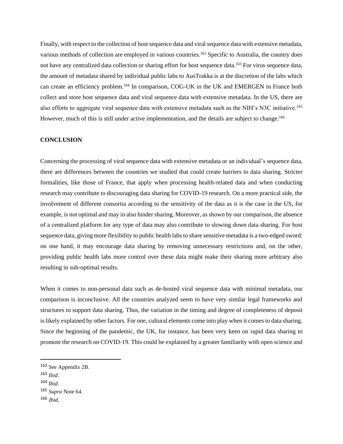Finally, with respect to the collection of host sequence data and viral sequence data with extensive metadata, various methods of collection are employed in various countries.<sup>162</sup> Specific to Australia, the country does not have any centralized data collection or sharing effort for host sequence data.<sup>163</sup> For virus sequence data, the amount of metadata shared by individual public labs to AusTrakka is at the discretion of the labs which can create an efficiency problem.<sup>164</sup> In comparison, COG-UK in the UK and EMERGEN in France both collect and store host sequence data and viral sequence data with extensive metadata. In the US, there are also efforts to aggregate viral sequence data with extensive metadata such as the NIH's N3C initiative.<sup>165</sup> However, much of this is still under active implementation, and the details are subject to change.<sup>166</sup>

#### **CONCLUSION**

Concerning the processing of viral sequence data with extensive metadata or an individual's sequence data, there are differences between the countries we studied that could create barriers to data sharing. Stricter formalities, like those of France, that apply when processing health-related data and when conducting research may contribute to discouraging data sharing for COVID-19 research. On a more practical side, the involvement of different consortia according to the sensitivity of the data as it is the case in the US, for example, is not optimal and may in also hinder sharing. Moreover, as shown by our comparison, the absence of a centralized platform for any type of data may also contribute to slowing down data sharing. For host sequence data, giving more flexibility to public health labs to share sensitive metadata is a two-edged sword: on one hand, it may encourage data sharing by removing unnecessary restrictions and, on the other, providing public health labs more control over these data might make their sharing more arbitrary also resulting in sub-optimal results.

When it comes to non-personal data such as de-hosted viral sequence data with minimal metadata, our comparison is inconclusive. All the countries analyzed seem to have very similar legal frameworks and structures to support data sharing. Thus, the variation in the timing and degree of completeness of deposit is likely explained by other factors. For one, cultural elements come into play when it comes to data sharing. Since the beginning of the pandemic, the UK, for instance, has been very keen on rapid data sharing to promote the research on COVID-19. This could be explained by a greater familiarity with open science and

- <sup>163</sup> *Ibid*.
- <sup>164</sup> *Ibid*.

<sup>162</sup> See Appendix 2B.

<sup>165</sup> *Supra* Note 64.

<sup>166</sup> *Ibid*.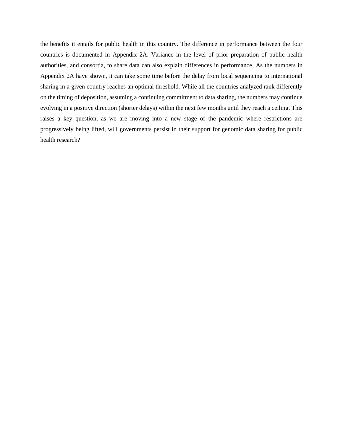the benefits it entails for public health in this country. The difference in performance between the four countries is documented in Appendix 2A. Variance in the level of prior preparation of public health authorities, and consortia, to share data can also explain differences in performance. As the numbers in Appendix 2A have shown, it can take some time before the delay from local sequencing to international sharing in a given country reaches an optimal threshold. While all the countries analyzed rank differently on the timing of deposition, assuming a continuing commitment to data sharing, the numbers may continue evolving in a positive direction (shorter delays) within the next few months until they reach a ceiling. This raises a key question, as we are moving into a new stage of the pandemic where restrictions are progressively being lifted, will governments persist in their support for genomic data sharing for public health research?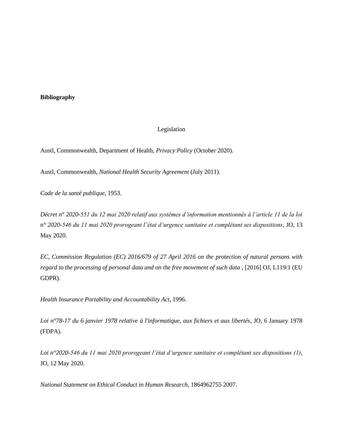# **Bibliography**

#### Legislation

Austl, Commonwealth, Department of Health, *Privacy Policy* (October 2020).

Austl, Commonwealth, *National Health Security Agreement* (July 2011).

*Code de la santé publique*, 1953.

*Décret n° 2020-551 du 12 mai 2020 relatif aux systèmes d'information mentionnés à l'article 11 de la loi n° 2020-546 du 11 mai 2020 prorogeant l'état d'urgence sanitaire et complétant ses dispositions*, JO, 13 May 2020.

*EC, Commission Regulation (EC) 2016/679 of 27 April 2016 on the protection of natural persons with regard to the processing of personal data and on the free movement of such data* , [2016] OJ, L119/1 (EU GDPR).

*Health Insurance Portability and Accountability Act*, 1996.

*Loi n°78-17 du 6 janvier 1978 relative à l'informatique, aux fichiers et aux libertés*, JO, 6 January 1978 (FDPA).

*Loi n°2020-546 du 11 mai 2020 prorogeant l'état d'urgence sanitaire et complétant ses dispositions (1)*, JO, 12 May 2020.

*National Statement on Ethical Conduct in Human Research*, 1864962755 2007.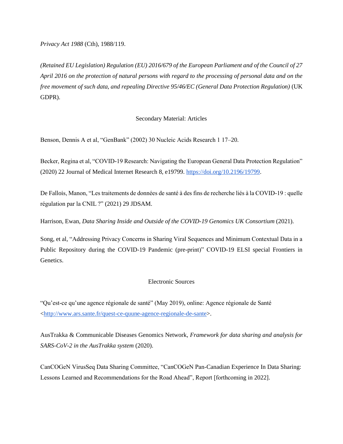*Privacy Act 1988* (Cth), 1988/119.

*(Retained EU Legislation) Regulation (EU) 2016/679 of the European Parliament and of the Council of 27 April 2016 on the protection of natural persons with regard to the processing of personal data and on the free movement of such data, and repealing Directive 95/46/EC (General Data Protection Regulation)* (UK GDPR).

# Secondary Material: Articles

Benson, Dennis A et al, "GenBank" (2002) 30 Nucleic Acids Research 1 17–20.

Becker, Regina et al, "COVID-19 Research: Navigating the European General Data Protection Regulation" (2020) 22 Journal of Medical Internet Research 8, e19799. [https://doi.org/10.2196/19799.](https://doi.org/10.2196/19799)

De Fallois, Manon, "Les traitements de données de santé à des fins de recherche liés à la COVID-19 : quelle régulation par la CNIL ?" (2021) 29 JDSAM.

Harrison, Ewan, *Data Sharing Inside and Outside of the COVID-19 Genomics UK Consortium* (2021).

Song, et al, "Addressing Privacy Concerns in Sharing Viral Sequences and Minimum Contextual Data in a Public Repository during the COVID-19 Pandemic (pre-print)" COVID-19 ELSI special Frontiers in Genetics.

#### Electronic Sources

"Qu'est-ce qu'une agence régionale de santé" (May 2019), online: Agence régionale de Santé [<http://www.ars.sante.fr/quest-ce-quune-agence-regionale-de-sante>](http://www.ars.sante.fr/quest-ce-quune-agence-regionale-de-sante).

AusTrakka & Communicable Diseases Genomics Network, *Framework for data sharing and analysis for SARS-CoV-2 in the AusTrakka system* (2020).

CanCOGeN VirusSeq Data Sharing Committee, "CanCOGeN Pan-Canadian Experience In Data Sharing: Lessons Learned and Recommendations for the Road Ahead", Report [forthcoming in 2022].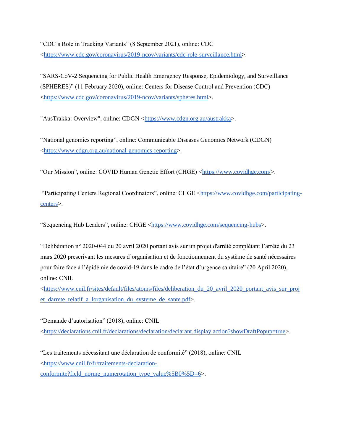"CDC's Role in Tracking Variants" (8 September 2021), online: CDC [<https://www.cdc.gov/coronavirus/2019-ncov/variants/cdc-role-surveillance.html>](https://www.cdc.gov/coronavirus/2019-ncov/variants/cdc-role-surveillance.html).

"SARS-CoV-2 Sequencing for Public Health Emergency Response, Epidemiology, and Surveillance (SPHERES)" (11 February 2020), online: Centers for Disease Control and Prevention (CDC) [<https://www.cdc.gov/coronavirus/2019-ncov/variants/spheres.html>](https://www.cdc.gov/coronavirus/2019-ncov/variants/spheres.html).

"AusTrakka: Overview", online: CDGN [<https://www.cdgn.org.au/austrakka>](https://www.cdgn.org.au/austrakka).

"National genomics reporting", online: Communicable Diseases Genomics Network (CDGN) [<https://www.cdgn.org.au/national-genomics-reporting>](https://www.cdgn.org.au/national-genomics-reporting).

"Our Mission", online: COVID Human Genetic Effort (CHGE) [<https://www.covidhge.com/>](https://www.covidhge.com/).

"Participating Centers Regional Coordinators", online: CHGE [<https://www.covidhge.com/participating](https://www.covidhge.com/participating-centers)[centers>](https://www.covidhge.com/participating-centers).

"Sequencing Hub Leaders", online: CHGE [<https://www.covidhge.com/sequencing-hubs>](https://www.covidhge.com/sequencing-hubs).

"Délibération n° 2020-044 du 20 avril 2020 portant avis sur un projet d'arrêté complétant l'arrêté du 23 mars 2020 prescrivant les mesures d'organisation et de fonctionnement du système de santé nécessaires pour faire face à l'épidémie de covid-19 dans le cadre de l'état d'urgence sanitaire" (20 April 2020), online: CNIL

 $\text{chttps://www.cnil.fr/sites/default/files/atoms/files/deliberation du 20 avril 2020 portant avis sur proj.}$ et darrete relatif a lorganisation du systeme de sante.pdf>.

"Demande d'autorisation" (2018), online: CNIL

[<https://declarations.cnil.fr/declarations/declaration/declarant.display.action?showDraftPopup=true>](https://declarations.cnil.fr/declarations/declaration/declarant.display.action?showDraftPopup=true).

"Les traitements nécessitant une déclaration de conformité" (2018), online: CNIL [<https://www.cnil.fr/fr/traitements-declaration-](https://www.cnil.fr/fr/traitements-declaration-conformite?field_norme_numerotation_type_value%5B0%5D=6)

[conformite?field\\_norme\\_numerotation\\_type\\_value%5B0%5D=6>](https://www.cnil.fr/fr/traitements-declaration-conformite?field_norme_numerotation_type_value%5B0%5D=6).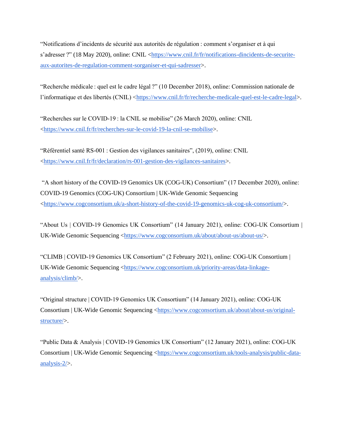"Notifications d'incidents de sécurité aux autorités de régulation : comment s'organiser et à qui s'adresser ?" (18 May 2020), online: CNIL [<https://www.cnil.fr/fr/notifications-dincidents-de-securite](https://www.cnil.fr/fr/notifications-dincidents-de-securite-aux-autorites-de-regulation-comment-sorganiser-et-qui-sadresser)[aux-autorites-de-regulation-comment-sorganiser-et-qui-sadresser>](https://www.cnil.fr/fr/notifications-dincidents-de-securite-aux-autorites-de-regulation-comment-sorganiser-et-qui-sadresser).

"Recherche médicale : quel est le cadre légal ?" (10 December 2018), online: Commission nationale de l'informatique et des libertés (CNIL) [<https://www.cnil.fr/fr/recherche-medicale-quel-est-le-cadre-legal>](https://www.cnil.fr/fr/recherche-medicale-quel-est-le-cadre-legal).

"Recherches sur le COVID-19 : la CNIL se mobilise" (26 March 2020), online: CNIL [<https://www.cnil.fr/fr/recherches-sur-le-covid-19-la-cnil-se-mobilise>](https://www.cnil.fr/fr/recherches-sur-le-covid-19-la-cnil-se-mobilise).

"Référentiel santé RS-001 : Gestion des vigilances sanitaires", (2019), online: CNIL [<https://www.cnil.fr/fr/declaration/rs-001-gestion-des-vigilances-sanitaires>](https://www.cnil.fr/fr/declaration/rs-001-gestion-des-vigilances-sanitaires).

"A short history of the COVID-19 Genomics UK (COG-UK) Consortium" (17 December 2020), online: COVID-19 Genomics (COG-UK) Consortium | UK-Wide Genomic Sequencing [<https://www.cogconsortium.uk/a-short-history-of-the-covid-19-genomics-uk-cog-uk-consortium/>](https://www.cogconsortium.uk/a-short-history-of-the-covid-19-genomics-uk-cog-uk-consortium/).

"About Us | COVID-19 Genomics UK Consortium" (14 January 2021), online: COG-UK Consortium | UK-Wide Genomic Sequencing [<https://www.cogconsortium.uk/about/about-us/about-us/>](https://www.cogconsortium.uk/about/about-us/about-us/).

"CLIMB | COVID-19 Genomics UK Consortium" (2 February 2021), online: COG-UK Consortium | UK-Wide Genomic Sequencing [<https://www.cogconsortium.uk/priority-areas/data-linkage](https://www.cogconsortium.uk/priority-areas/data-linkage-analysis/climb/)[analysis/climb/>](https://www.cogconsortium.uk/priority-areas/data-linkage-analysis/climb/).

"Original structure | COVID-19 Genomics UK Consortium" (14 January 2021), online: COG-UK Consortium | UK-Wide Genomic Sequencing [<https://www.cogconsortium.uk/about/about-us/original](https://www.cogconsortium.uk/about/about-us/original-structure/)[structure/>](https://www.cogconsortium.uk/about/about-us/original-structure/).

"Public Data & Analysis | COVID-19 Genomics UK Consortium" (12 January 2021), online: COG-UK Consortium | UK-Wide Genomic Sequencing [<https://www.cogconsortium.uk/tools-analysis/public-data](https://www.cogconsortium.uk/tools-analysis/public-data-analysis-2/)[analysis-2/>](https://www.cogconsortium.uk/tools-analysis/public-data-analysis-2/).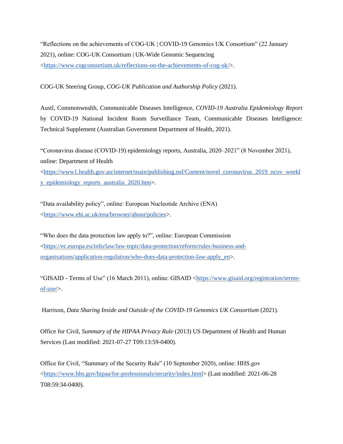"Reflections on the achievements of COG-UK | COVID-19 Genomics UK Consortium" (22 January 2021), online: COG-UK Consortium | UK-Wide Genomic Sequencing [<https://www.cogconsortium.uk/reflections-on-the-achievements-of-cog-uk/>](https://www.cogconsortium.uk/reflections-on-the-achievements-of-cog-uk/).

COG-UK Steering Group, *COG-UK Publication and Authorship Policy* (2021).

Austl, Commonwealth, Communicable Diseases Intelligence, *COVID-19 Australia Epidemiology Report*  by COVID-19 National Incident Room Surveillance Team, Communicable Diseases Intelligence: Technical Supplement (Australian Government Department of Health, 2021).

"Coronavirus disease (COVID-19) epidemiology reports, Australia, 2020–2021" (8 November 2021), online: Department of Health [<https://www1.health.gov.au/internet/main/publishing.nsf/Content/novel\\_coronavirus\\_2019\\_ncov\\_weekl](https://www1.health.gov.au/internet/main/publishing.nsf/Content/novel_coronavirus_2019_ncov_weekly_epidemiology_reports_australia_2020.htm) [y\\_epidemiology\\_reports\\_australia\\_2020.htm>](https://www1.health.gov.au/internet/main/publishing.nsf/Content/novel_coronavirus_2019_ncov_weekly_epidemiology_reports_australia_2020.htm).

"Data availability policy", online: European Nucleotide Archive (ENA) [<https://www.ebi.ac.uk/ena/browser/about/policies>](https://www.ebi.ac.uk/ena/browser/about/policies).

"Who does the data protection law apply to?", online: European Commission [<https://ec.europa.eu/info/law/law-topic/data-protection/reform/rules-business-and](https://ec.europa.eu/info/law/law-topic/data-protection/reform/rules-business-and-organisations/application-regulation/who-does-data-protection-law-apply_en)[organisations/application-regulation/who-does-data-protection-law-apply\\_en>](https://ec.europa.eu/info/law/law-topic/data-protection/reform/rules-business-and-organisations/application-regulation/who-does-data-protection-law-apply_en).

"GISAID - Terms of Use" (16 March 2011), online: GISAID [<https://www.gisaid.org/registration/terms](https://www.gisaid.org/registration/terms-of-use/)[of-use/>](https://www.gisaid.org/registration/terms-of-use/).

Harrison, *Data Sharing Inside and Outside of the COVID-19 Genomics UK Consortium* (2021).

Office for Civil, *Summary of the HIPAA Privacy Rule* (2013) US Department of Health and Human Services (Last modified: 2021-07-27 T09:13:59-0400).

Office for Civil, "Summary of the Security Rule" (10 September 2020), online: HHS.gov [<https://www.hhs.gov/hipaa/for-professionals/security/index.html>](https://www.hhs.gov/hipaa/for-professionals/security/index.html) (Last modified: 2021-06-28 T08:59:34-0400).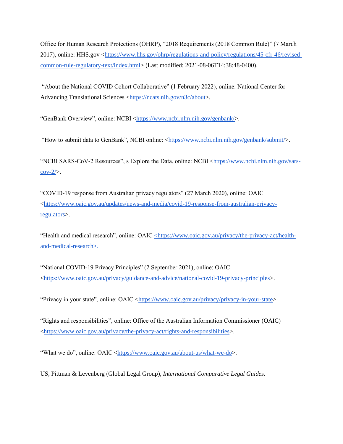Office for Human Research Protections (OHRP), "2018 Requirements (2018 Common Rule)" (7 March 2017), online: HHS.gov [<https://www.hhs.gov/ohrp/regulations-and-policy/regulations/45-cfr-46/revised](https://www.hhs.gov/ohrp/regulations-and-policy/regulations/45-cfr-46/revised-common-rule-regulatory-text/index.html)[common-rule-regulatory-text/index.html>](https://www.hhs.gov/ohrp/regulations-and-policy/regulations/45-cfr-46/revised-common-rule-regulatory-text/index.html) (Last modified: 2021-08-06T14:38:48-0400).

"About the National COVID Cohort Collaborative" (1 February 2022), online: National Center for Advancing Translational Sciences [<https://ncats.nih.gov/n3c/about>](https://ncats.nih.gov/n3c/about).

"GenBank Overview", online: NCBI [<https://www.ncbi.nlm.nih.gov/genbank/>](https://www.ncbi.nlm.nih.gov/genbank/).

"How to submit data to GenBank", NCBI online: [<https://www.ncbi.nlm.nih.gov/genbank/submit/>](https://www.ncbi.nlm.nih.gov/genbank/submit/).

"NCBI SARS-CoV-2 Resources", s Explore the Data, online: NCBI [<https://www.ncbi.nlm.nih.gov/sars-](https://www.ncbi.nlm.nih.gov/sars-cov-2/) $\text{cov-}2\text{/}$ .

"COVID-19 response from Australian privacy regulators" (27 March 2020), online: OAIC [<https://www.oaic.gov.au/updates/news-and-media/covid-19-response-from-australian-privacy](https://www.oaic.gov.au/updates/news-and-media/covid-19-response-from-australian-privacy-regulators)[regulators>](https://www.oaic.gov.au/updates/news-and-media/covid-19-response-from-australian-privacy-regulators).

"Health and medical research", online: OAIC [<](https://www.zotero.org/google-docs/?w9TXhn)[https://www.oaic.gov.au/privacy/the-privacy-act/health](https://www.oaic.gov.au/privacy/the-privacy-act/health-and-medical-research)[and-medical-research](https://www.oaic.gov.au/privacy/the-privacy-act/health-and-medical-research)[>.](https://www.zotero.org/google-docs/?w9TXhn)

"National COVID-19 Privacy Principles" (2 September 2021), online: OAIC [<https://www.oaic.gov.au/privacy/guidance-and-advice/national-covid-19-privacy-principles>](https://www.oaic.gov.au/privacy/guidance-and-advice/national-covid-19-privacy-principles).

"Privacy in your state", online: OAIC [<https://www.oaic.gov.au/privacy/privacy-in-your-state>](https://www.oaic.gov.au/privacy/privacy-in-your-state).

"Rights and responsibilities", online: Office of the Australian Information Commissioner (OAIC) [<https://www.oaic.gov.au/privacy/the-privacy-act/rights-and-responsibilities>](https://www.oaic.gov.au/privacy/the-privacy-act/rights-and-responsibilities).

"What we do", online: OAIC [<https://www.oaic.gov.au/about-us/what-we-do>](https://www.oaic.gov.au/about-us/what-we-do).

US, Pittman & Levenberg (Global Legal Group), *International Comparative Legal Guides*.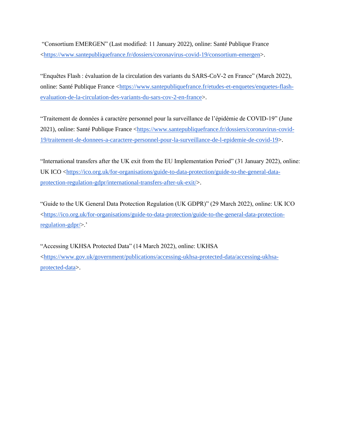"Consortium EMERGEN" (Last modified: 11 January 2022), online: Santé Publique France [<https://www.santepubliquefrance.fr/dossiers/coronavirus-covid-19/consortium-emergen>](https://www.santepubliquefrance.fr/dossiers/coronavirus-covid-19/consortium-emergen).

"Enquêtes Flash : évaluation de la circulation des variants du SARS-CoV-2 en France" (March 2022), online: Santé Publique France [<https://www.santepubliquefrance.fr/etudes-et-enquetes/enquetes-flash](https://www.santepubliquefrance.fr/etudes-et-enquetes/enquetes-flash-evaluation-de-la-circulation-des-variants-du-sars-cov-2-en-france)[evaluation-de-la-circulation-des-variants-du-sars-cov-2-en-france>](https://www.santepubliquefrance.fr/etudes-et-enquetes/enquetes-flash-evaluation-de-la-circulation-des-variants-du-sars-cov-2-en-france).

"Traitement de données à caractère personnel pour la surveillance de l'épidémie de COVID-19" (June 2021), online: Santé Publique France [<https://www.santepubliquefrance.fr/dossiers/coronavirus-covid-](https://www.santepubliquefrance.fr/dossiers/coronavirus-covid-19/traitement-de-donnees-a-caractere-personnel-pour-la-surveillance-de-l-epidemie-de-covid-19)[19/traitement-de-donnees-a-caractere-personnel-pour-la-surveillance-de-l-epidemie-de-covid-19>](https://www.santepubliquefrance.fr/dossiers/coronavirus-covid-19/traitement-de-donnees-a-caractere-personnel-pour-la-surveillance-de-l-epidemie-de-covid-19).

"International transfers after the UK exit from the EU Implementation Period" (31 January 2022), online: UK ICO [<https://ico.org.uk/for-organisations/guide-to-data-protection/guide-to-the-general-data](https://ico.org.uk/for-organisations/guide-to-data-protection/guide-to-the-general-data-protection-regulation-gdpr/international-transfers-after-uk-exit/)[protection-regulation-gdpr/international-transfers-after-uk-exit/>](https://ico.org.uk/for-organisations/guide-to-data-protection/guide-to-the-general-data-protection-regulation-gdpr/international-transfers-after-uk-exit/).

"Guide to the UK General Data Protection Regulation (UK GDPR)" (29 March 2022), online: UK ICO [<https://ico.org.uk/for-organisations/guide-to-data-protection/guide-to-the-general-data-protection](https://ico.org.uk/for-organisations/guide-to-data-protection/guide-to-the-general-data-protection-regulation-gdpr/)[regulation-gdpr/>](https://ico.org.uk/for-organisations/guide-to-data-protection/guide-to-the-general-data-protection-regulation-gdpr/).'

"Accessing UKHSA Protected Data" (14 March 2022), online: UKHSA [<https://www.gov.uk/government/publications/accessing-ukhsa-protected-data/accessing-ukhsa](https://www.gov.uk/government/publications/accessing-ukhsa-protected-data/accessing-ukhsa-protected-data)[protected-data>](https://www.gov.uk/government/publications/accessing-ukhsa-protected-data/accessing-ukhsa-protected-data).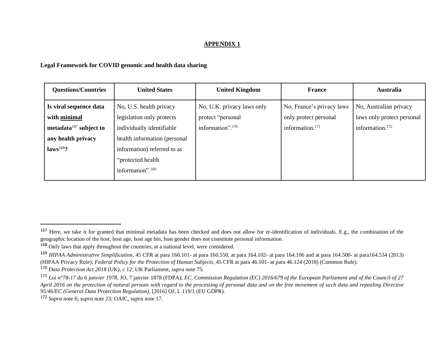#### **APPENDIX 1**

# **Legal Framework for COVID genomic and health data sharing**

| <b>Questions/Countries</b> | <b>United States</b>         | <b>United Kingdom</b>        | <b>France</b>               | <b>Australia</b>            |
|----------------------------|------------------------------|------------------------------|-----------------------------|-----------------------------|
| Is viral sequence data     | No, U.S. health privacy      | No, U.K. privacy laws only   | No, France's privacy laws   | No, Australian privacy      |
| with minimal               | legislation only protects    | protect "personal            | only protect personal       | laws only protect personal  |
| metadata $167$ subject to  | individually identifiable    | information". <sup>170</sup> | information. <sup>171</sup> | information. <sup>172</sup> |
| any health privacy         | health information (personal |                              |                             |                             |
| $laws168$ ?                | information) referred to as  |                              |                             |                             |
|                            | "protected health"           |                              |                             |                             |
|                            | information". <sup>169</sup> |                              |                             |                             |

<sup>&</sup>lt;sup>167</sup> Here, we take it for granted that minimal metadata has been checked and does not allow for re-identification of individuals. E.g., the combination of the geographic location of the host, host age, host age bin, host gender does not constitute personal information.

<sup>168</sup> Only laws that apply throughout the countries, at a national level, were considered.

<sup>169</sup> *HIPAA Administrative Simplification*, 45 CFR at para 160.101- at para 160.550, at para 164.102- at para 164.106 and at para 164.500- at para164.534 (2013) (HIPAA Privacy Rule); *Federal Policy for the Protection of Human Subjects*, 45 CFR at para 46.101- at para 46.124 (2018) (Common Rule).

<sup>170</sup> *Data Protection Act 2018* (UK), c 12; UK Parliament, *supra* note 75.

<sup>171</sup> *Loi n°78-17 du 6 janvier 1978*, JO, 7 janvier 1878 (FDPA); *EC, Commission Regulation (EC) 2016/679 of the European Parliament and of the Council of 27 April 2016 on the protection of natural persons with regard to the processing of personal data and on the free movement of such data and repealing Directive 95/46/EC (General Data Protection Regulation)*, [2016] OJ, L 119/1 (EU GDPR).

<sup>172</sup> *Supra* note 6; *supra* note 23; OAIC, *supra* note 17.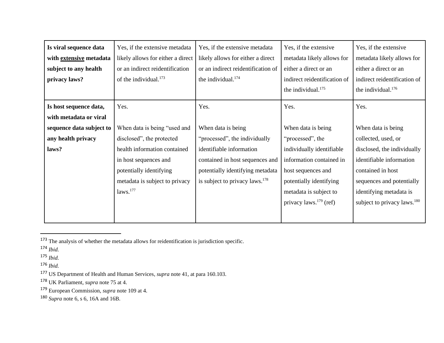| Is viral sequence data   | Yes, if the extensive metadata    | Yes, if the extensive metadata             | Yes, if the extensive          | Yes, if the extensive                   |
|--------------------------|-----------------------------------|--------------------------------------------|--------------------------------|-----------------------------------------|
| with extensive metadata  | likely allows for either a direct | likely allows for either a direct          | metadata likely allows for     | metadata likely allows for              |
| subject to any health    | or an indirect reidentification   | or an indirect reidentification of         | either a direct or an          | either a direct or an                   |
| privacy laws?            | of the individual. <sup>173</sup> | the individual. <sup>174</sup>             | indirect reidentification of   | indirect reidentification of            |
|                          |                                   |                                            | the individual. <sup>175</sup> | the individual. <sup>176</sup>          |
| Is host sequence data,   | Yes.                              | Yes.                                       | Yes.                           | Yes.                                    |
| with metadata or viral   |                                   |                                            |                                |                                         |
| sequence data subject to | When data is being "used and      | When data is being                         | When data is being             | When data is being                      |
| any health privacy       | disclosed", the protected         | "processed", the individually              | "processed", the               | collected, used, or                     |
| laws?                    | health information contained      | identifiable information                   | individually identifiable      | disclosed, the individually             |
|                          | in host sequences and             | contained in host sequences and            | information contained in       | identifiable information                |
|                          | potentially identifying           | potentially identifying metadata           | host sequences and             | contained in host                       |
|                          | metadata is subject to privacy    | is subject to privacy laws. <sup>178</sup> | potentially identifying        | sequences and potentially               |
|                          | laws. <sup>177</sup>              |                                            | metadata is subject to         | identifying metadata is                 |
|                          |                                   |                                            | privacy laws. $^{179}$ (ref)   | subject to privacy laws. <sup>180</sup> |
|                          |                                   |                                            |                                |                                         |

<sup>&</sup>lt;sup>173</sup> The analysis of whether the metadata allows for reidentification is jurisdiction specific.

<sup>176</sup> *Ibid.* 

<sup>174</sup> *Ibid.*

<sup>175</sup> *Ibid.*

<sup>177</sup> US Department of Health and Human Services, *supra* note 41, at para 160.103.

<sup>178</sup> UK Parliament, *supra* note 75 at 4.

<sup>179</sup> European Commission, *supra* note 109 at 4.

<sup>180</sup> *Supra* note 6, s 6, 16A and 16B.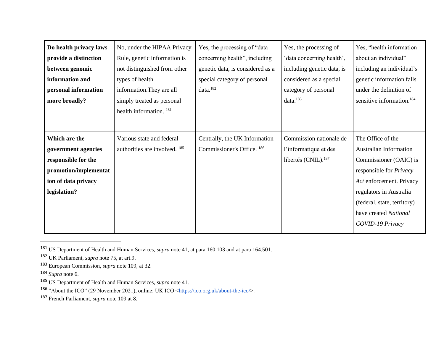| Do health privacy laws | No, under the HIPAA Privacy        | Yes, the processing of "data     | Yes, the processing of     | Yes, "health information              |
|------------------------|------------------------------------|----------------------------------|----------------------------|---------------------------------------|
| provide a distinction  | Rule, genetic information is       | concerning health", including    | 'data concerning health',  | about an individual"                  |
| between genomic        | not distinguished from other       | genetic data, is considered as a | including genetic data, is | including an individual's             |
| information and        | types of health                    | special category of personal     | considered as a special    | genetic information falls             |
| personal information   | information. They are all          | data. <sup>182</sup>             | category of personal       | under the definition of               |
| more broadly?          | simply treated as personal         |                                  | data. <sup>183</sup>       | sensitive information. <sup>184</sup> |
|                        | health information. <sup>181</sup> |                                  |                            |                                       |
|                        |                                    |                                  |                            |                                       |
| Which are the          | Various state and federal          | Centrally, the UK Information    | Commission nationale de    | The Office of the                     |
| government agencies    | authorities are involved. 185      | Commissioner's Office. 186       | l'informatique et des      | <b>Australian Information</b>         |
| responsible for the    |                                    |                                  | libertés (CNIL). $^{187}$  | Commissioner (OAIC) is                |
| promotion/implementat  |                                    |                                  |                            | responsible for <i>Privacy</i>        |
| ion of data privacy    |                                    |                                  |                            | Act enforcement. Privacy              |
| legislation?           |                                    |                                  |                            | regulators in Australia               |
|                        |                                    |                                  |                            | (federal, state, territory)           |
|                        |                                    |                                  |                            | have created National                 |
|                        |                                    |                                  |                            | COVID-19 Privacy                      |
|                        |                                    |                                  |                            |                                       |

<sup>181</sup> US Department of Health and Human Services, *supra* note 41, at para 160.103 and at para 164.501.

<sup>182</sup> UK Parliament, *supra* note 75, at art.9.

<sup>183</sup> European Commission, *supra* note 109, at 32.

<sup>184</sup> *Supra* note 6.

<sup>185</sup> US Department of Health and Human Services, *supra* note 41.

<sup>186 &</sup>quot;About the ICO" (29 November 2021), online: UK ICO  $\langle \frac{https://ico.org.uk/about-the-ico/}{https://co.org.uk/about-the-ico/}$ .

<sup>187</sup> French Parliament, *supra* note 109 at 8.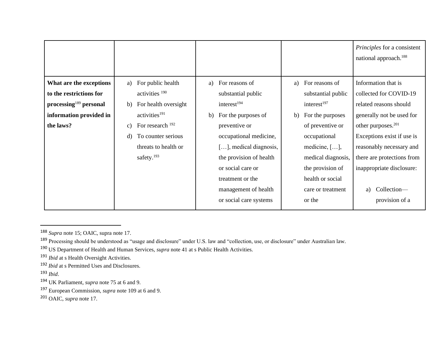|                                      |                                   |                                |                         | Principles for a consistent<br>national approach. <sup>188</sup> |
|--------------------------------------|-----------------------------------|--------------------------------|-------------------------|------------------------------------------------------------------|
| What are the exceptions              | For public health<br>a)           | For reasons of<br>a)           | For reasons of<br>a)    | Information that is                                              |
| to the restrictions for              | activities <sup>190</sup>         | substantial public             | substantial public      | collected for COVID-19                                           |
| $\mathbf{processing}^{189}$ personal | For health oversight<br>b)        | interest <sup>194</sup>        | interest <sup>197</sup> | related reasons should                                           |
| information provided in              | activities <sup>191</sup>         | For the purposes of<br>b)      | b)<br>For the purposes  | generally not be used for                                        |
| the laws?                            | For research <sup>192</sup><br>c) | preventive or                  | of preventive or        | other purposes. <sup>201</sup>                                   |
|                                      | To counter serious<br>d)          | occupational medicine,         | occupational            | Exceptions exist if use is                                       |
|                                      | threats to health or              | $[\dots]$ , medical diagnosis, | medicine, $[\ldots]$ ,  | reasonably necessary and                                         |
|                                      | safety. <sup>193</sup>            | the provision of health        | medical diagnosis,      | there are protections from                                       |
|                                      |                                   | or social care or              | the provision of        | inappropriate disclosure:                                        |
|                                      |                                   | treatment or the               | health or social        |                                                                  |
|                                      |                                   | management of health           | care or treatment       | Collection-<br>a)                                                |
|                                      |                                   | or social care systems         | or the                  | provision of a                                                   |

<sup>201</sup> OAIC, *supra* note 17.

<sup>188</sup> *Supra* note 15; OAIC, supra note 17.

<sup>189</sup> Processing should be understood as "usage and disclosure" under U.S. law and "collection, use, or disclosure" under Australian law.

<sup>190</sup> US Department of Health and Human Services, *supra* note 41 at s Public Health Activities.

<sup>191</sup> *Ibid* at s Health Oversight Activities.

<sup>192</sup> *Ibid* at s Permitted Uses and Disclosures.

<sup>193</sup> *Ibid*.

<sup>194</sup> UK Parliament, *supra* note 75 at 6 and 9.

<sup>197</sup> European Commission, *supra* note 109 at 6 and 9.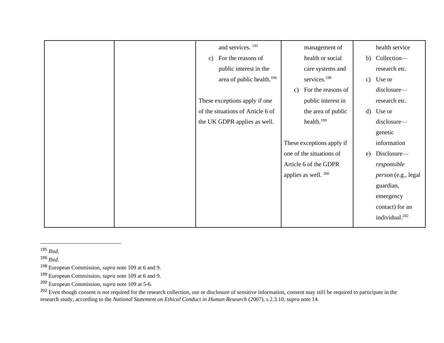|  | and services. <sup>195</sup>          | management of                       |    | health service             |
|--|---------------------------------------|-------------------------------------|----|----------------------------|
|  | For the reasons of<br>C)              | health or social                    |    | b) Collection-             |
|  | public interest in the                | care systems and                    |    | research etc.              |
|  | area of public health. <sup>196</sup> | services. <sup>198</sup>            |    | c) Use or                  |
|  |                                       | For the reasons of<br>$\mathbf{c})$ |    | disclosure-                |
|  | These exceptions apply if one         | public interest in                  |    | research etc.              |
|  | of the situations of Article 6 of     | the area of public                  |    | d) Use or                  |
|  | the UK GDPR applies as well.          | health. <sup>199</sup>              |    | disclosure-                |
|  |                                       |                                     |    | genetic                    |
|  |                                       | These exceptions apply if           |    | information                |
|  |                                       | one of the situations of            | e) | Disclosure-                |
|  |                                       | Article 6 of the GDPR               |    | responsible                |
|  |                                       | applies as well. $200$              |    | person (e.g., legal        |
|  |                                       |                                     |    | guardian,                  |
|  |                                       |                                     |    | emergency                  |
|  |                                       |                                     |    | contact) for an            |
|  |                                       |                                     |    | individual. <sup>202</sup> |
|  |                                       |                                     |    |                            |

<sup>202</sup> Even though consent is not required for the research collection, use or disclosure of sensitive information, consent may still be required to participate in the research study, according to the *National Statement on Ethical Conduct in Human Research* (2007), s 2.3.10; *supra* note 14.

<sup>195</sup> *Ibid*.

<sup>196</sup> *Ibid*.

<sup>198</sup> European Commission, *supra* note 109 at 6 and 9.

<sup>199</sup> European Commission, *supra* note 109 at 6 and 9.

<sup>200</sup> European Commission, *supra* note 109 at 5-6.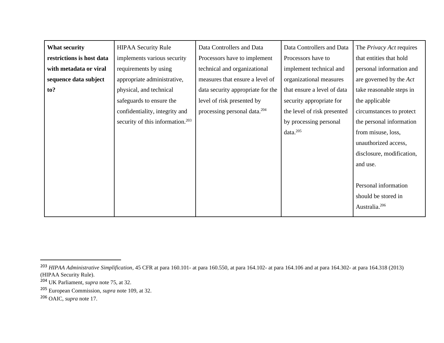| <b>What security</b>      | <b>HIPAA Security Rule</b>                   | Data Controllers and Data                | Data Controllers and Data   | The <i>Privacy Act</i> requires |
|---------------------------|----------------------------------------------|------------------------------------------|-----------------------------|---------------------------------|
| restrictions is host data | implements various security                  | Processors have to implement             | Processors have to          | that entities that hold         |
| with metadata or viral    | requirements by using                        | technical and organizational             | implement technical and     | personal information and        |
| sequence data subject     | appropriate administrative,                  | measures that ensure a level of          | organizational measures     | are governed by the Act         |
| to?                       | physical, and technical                      | data security appropriate for the        | that ensure a level of data | take reasonable steps in        |
|                           | safeguards to ensure the                     | level of risk presented by               | security appropriate for    | the applicable                  |
|                           | confidentiality, integrity and               | processing personal data. <sup>204</sup> | the level of risk presented | circumstances to protect        |
|                           | security of this information. <sup>203</sup> |                                          | by processing personal      | the personal information        |
|                           |                                              |                                          | data. <sup>205</sup>        | from misuse, loss,              |
|                           |                                              |                                          |                             | unauthorized access,            |
|                           |                                              |                                          |                             | disclosure, modification,       |
|                           |                                              |                                          |                             | and use.                        |
|                           |                                              |                                          |                             |                                 |
|                           |                                              |                                          |                             | Personal information            |
|                           |                                              |                                          |                             | should be stored in             |
|                           |                                              |                                          |                             | Australia. <sup>206</sup>       |

<sup>203</sup> *HIPAA Administrative Simplification*, 45 CFR at para 160.101- at para 160.550, at para 164.102- at para 164.106 and at para 164.302- at para 164.318 (2013) (HIPAA Security Rule).

<sup>204</sup> UK Parliament, *supra* note 75, at 32.

<sup>205</sup> European Commission, *supra* note 109, at 32.

<sup>206</sup> OAIC, *supra* note 17.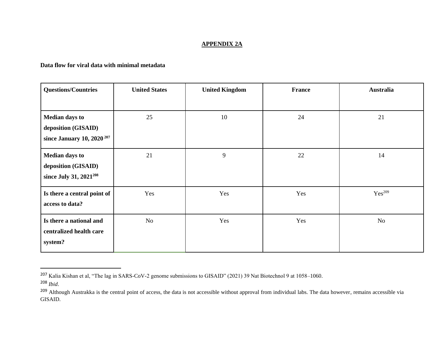# **APPENDIX 2A**

# **Data flow for viral data with minimal metadata**

| <b>Questions/Countries</b>            | <b>United States</b> | <b>United Kingdom</b> | France | Australia          |
|---------------------------------------|----------------------|-----------------------|--------|--------------------|
|                                       |                      |                       |        |                    |
| <b>Median days to</b>                 | 25                   | 10                    | 24     | 21                 |
| deposition (GISAID)                   |                      |                       |        |                    |
| since January 10, 2020 <sup>207</sup> |                      |                       |        |                    |
| <b>Median days to</b>                 | 21                   | 9                     | 22     | 14                 |
| deposition (GISAID)                   |                      |                       |        |                    |
| since July 31, 2021 <sup>208</sup>    |                      |                       |        |                    |
| Is there a central point of           | Yes                  | Yes                   | Yes    | Yes <sup>209</sup> |
| access to data?                       |                      |                       |        |                    |
| Is there a national and               | No                   | Yes                   | Yes    | No                 |
| centralized health care               |                      |                       |        |                    |
| system?                               |                      |                       |        |                    |

<sup>207</sup> Kalia Kishan et al, "The lag in SARS-CoV-2 genome submissions to GISAID" (2021) 39 Nat Biotechnol 9 at 1058–1060.

<sup>208</sup> *Ibid*.

<sup>&</sup>lt;sup>209</sup> Although Austrakka is the central point of access, the data is not accessible without approval from individual labs. The data however, remains accessible via GISAID.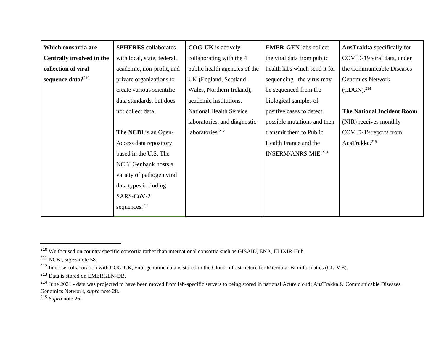| Which consortia are           | <b>SPHERES</b> collaborates | <b>COG-UK</b> is actively      | <b>EMER-GEN</b> labs collect    | <b>AusTrakka</b> specifically for |
|-------------------------------|-----------------------------|--------------------------------|---------------------------------|-----------------------------------|
| Centrally involved in the     | with local, state, federal, | collaborating with the 4       | the viral data from public      | COVID-19 viral data, under        |
| collection of viral           | academic, non-profit, and   | public health agencies of the  | health labs which send it for   | the Communicable Diseases         |
| sequence data? <sup>210</sup> | private organizations to    | UK (England, Scotland,         | sequencing the virus may        | Genomics Network                  |
|                               | create various scientific   | Wales, Northern Ireland),      | be sequenced from the           | (CDGN). <sup>214</sup>            |
|                               | data standards, but does    | academic institutions,         | biological samples of           |                                   |
|                               | not collect data.           | <b>National Health Service</b> | positive cases to detect        | <b>The National Incident Room</b> |
|                               |                             | laboratories, and diagnostic   | possible mutations and then     | (NIR) receives monthly            |
|                               | <b>The NCBI</b> is an Open- | laboratories. <sup>212</sup>   | transmit them to Public         | COVID-19 reports from             |
|                               | Access data repository      |                                | Health France and the           | AusTrakka. <sup>215</sup>         |
|                               | based in the U.S. The       |                                | INSERM/ANRS-MIE. <sup>213</sup> |                                   |
|                               | NCBI Genbank hosts a        |                                |                                 |                                   |
|                               | variety of pathogen viral   |                                |                                 |                                   |
|                               | data types including        |                                |                                 |                                   |
|                               | SARS-CoV-2                  |                                |                                 |                                   |
|                               | sequences. $^{211}$         |                                |                                 |                                   |

<sup>215</sup> *Supra* note 26.

<sup>210</sup> We focused on country specific consortia rather than international consortia such as GISAID, ENA, ELIXIR Hub.

<sup>211</sup> NCBI, *supra* note 58.

<sup>&</sup>lt;sup>212</sup> In close collaboration with COG-UK, viral genomic data is stored in the Cloud Infrastructure for Microbial Bioinformatics (CLIMB).

<sup>213</sup> Data is stored on EMERGEN-DB.

<sup>&</sup>lt;sup>214</sup> June 2021 - data was projected to have been moved from lab-specific servers to being stored in national Azure cloud; AusTrakka & Communicable Diseases Genomics Network, *supra* note 28.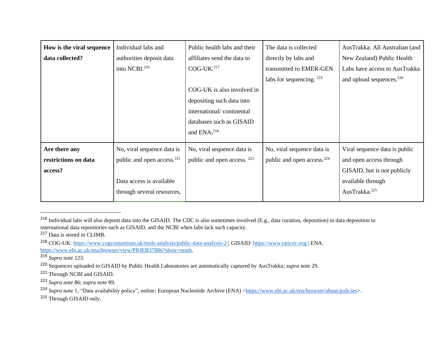| How is the viral sequence | Individual labs and                    | Public health labs and their           | The data is collected                  | AusTrakka: All Australian (and       |
|---------------------------|----------------------------------------|----------------------------------------|----------------------------------------|--------------------------------------|
| data collected?           | authorities deposit data               | affiliates send the data to            | directly by labs and                   | New Zealand) Public Health           |
|                           | into NCBI. <sup>216</sup>              | $COG$ -UK. $^{217}$                    | transmitted to EMER-GEN                | Labs have access to AusTrakka        |
|                           |                                        |                                        | labs for sequencing. 219               | and upload sequences. <sup>220</sup> |
|                           |                                        | COG-UK is also involved in             |                                        |                                      |
|                           |                                        | depositing such data into              |                                        |                                      |
|                           |                                        | international/continental              |                                        |                                      |
|                           |                                        | databases such as GISAID               |                                        |                                      |
|                           |                                        | and ENA. <sup>218</sup>                |                                        |                                      |
| Are there any             | No, viral sequence data is             | No, viral sequence data is             | No, viral sequence data is             | Viral sequence data is public        |
| restrictions on data      | public and open access. <sup>221</sup> | public and open access. <sup>223</sup> | public and open access. <sup>224</sup> | and open access through              |
| access?                   |                                        |                                        |                                        | GISAID, but is not publicly          |
|                           | Data access is available               |                                        |                                        | available through                    |
|                           | through several resources,             |                                        |                                        | AusTrakka. <sup>225</sup>            |

<sup>&</sup>lt;sup>216</sup> Individual labs will also deposit data into the GISAID. The CDC is also sometimes involved (E.g., data curation, deposition) in data deposition to international data repositories such as GISAID, and the NCBI when labs lack such capacity.

<sup>219</sup> *Supra* note 123.

<sup>223</sup> *Supra* note 86; *supra* note 89.

<sup>225</sup> Through GISAID only.

<sup>217</sup> Data is stored in CLIMB.

<sup>&</sup>lt;sup>218</sup> COG-UK: [https://www.cogconsortium.uk/tools-analysis/public-data-analysis-2/;](https://www.cogconsortium.uk/tools-analysis/public-data-analysis-2/) GISAID: [https://www.epicov.org/;](https://www.epicov.org/) ENA: [https://www.ebi.ac.uk/ena/browser/view/PRJEB37886?show=reads.](https://www.ebi.ac.uk/ena/browser/view/PRJEB37886?show=reads)

<sup>220</sup> Sequences uploaded to GISAID by Public Health Laboratories are automatically captured by AusTrakka; *supra* note 29.

<sup>221</sup> Through NCBI and GISAID.

<sup>&</sup>lt;sup>224</sup> *Supra* note 1; "Data availability policy", online: European Nucleotide Archive (ENA) [<https://www.ebi.ac.uk/ena/browser/about/policies>](https://www.ebi.ac.uk/ena/browser/about/policies).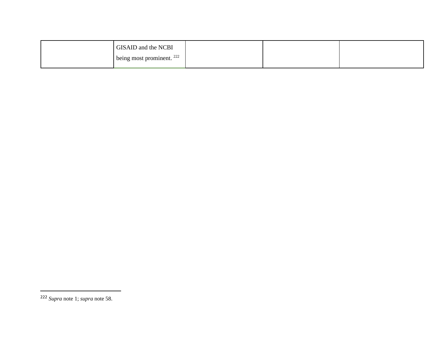| GISAID and the NCBI                  |  |  |
|--------------------------------------|--|--|
| being most prominent. <sup>222</sup> |  |  |

<sup>222</sup> *Supra* note 1; *supra* note 58.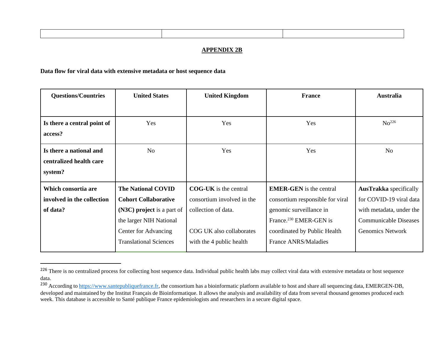#### **APPENDIX 2B**

# **Data flow for viral data with extensive metadata or host sequence data**

| <b>Questions/Countries</b>  | <b>United States</b>          | <b>United Kingdom</b>      | <b>France</b>                      | <b>Australia</b>              |
|-----------------------------|-------------------------------|----------------------------|------------------------------------|-------------------------------|
|                             |                               |                            |                                    |                               |
| Is there a central point of | Yes                           | Yes                        | Yes                                | No <sup>226</sup>             |
| access?                     |                               |                            |                                    |                               |
| Is there a national and     | N <sub>o</sub>                | Yes                        | Yes                                | N <sub>o</sub>                |
| centralized health care     |                               |                            |                                    |                               |
| system?                     |                               |                            |                                    |                               |
| Which consortia are         | <b>The National COVID</b>     | $COG-UK$ is the central    | <b>EMER-GEN</b> is the central     | <b>AusTrakka</b> specifically |
| involved in the collection  | <b>Cohort Collaborative</b>   | consortium involved in the | consortium responsible for viral   | for COVID-19 viral data       |
| of data?                    | (N3C) project is a part of    | collection of data.        | genomic surveillance in            | with metadata, under the      |
|                             | the larger NIH National       |                            | France. <sup>230</sup> EMER-GEN is | <b>Communicable Diseases</b>  |
|                             | Center for Advancing          | COG UK also collaborates   | coordinated by Public Health       | <b>Genomics Network</b>       |
|                             | <b>Translational Sciences</b> | with the 4 public health   | <b>France ANRS/Maladies</b>        |                               |

<sup>&</sup>lt;sup>226</sup> There is no centralized process for collecting host sequence data. Individual public health labs may collect viral data with extensive metadata or host sequence data.

<sup>&</sup>lt;sup>230</sup> According t[o https://www.santepubliquefrance.fr,](https://www.santepubliquefrance.fr/) the consortium has a bioinformatic platform available to host and share all sequencing data, EMERGEN-DB, developed and maintained by the Institut Français de Bioinformatique. It allows the analysis and availability of data from several thousand genomes produced each week. This database is accessible to Santé publique France epidemiologists and researchers in a secure digital space.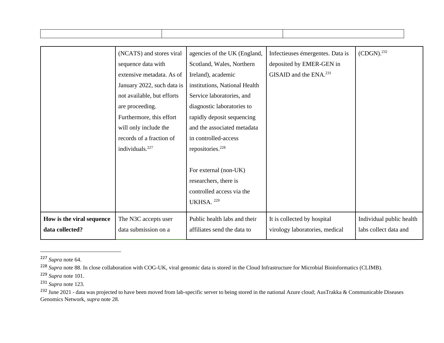| (CDGN). <sup>232</sup><br>(NCATS) and stores viral<br>agencies of the UK (England,<br>Infectieuses émergentes. Data is<br>deposited by EMER-GEN in<br>Scotland, Wales, Northern<br>sequence data with<br>GISAID and the ENA. <sup>231</sup><br>extensive metadata. As of<br>Ireland), academic<br>January 2022, such data is<br>institutions, National Health<br>not available, but efforts<br>Service laboratories, and<br>are proceeding.<br>diagnostic laboratories to<br>Furthermore, this effort<br>rapidly deposit sequencing<br>and the associated metadata<br>will only include the<br>records of a fraction of<br>in controlled-access<br>individuals. <sup>227</sup><br>repositories. <sup>228</sup><br>For external (non-UK)<br>researchers, there is<br>controlled access via the<br>UKHSA. 229<br>How is the viral sequence<br>Public health labs and their<br>It is collected by hospital<br>Individual public health<br>The N3C accepts user<br>data collected?<br>labs collect data and<br>data submission on a<br>affiliates send the data to<br>virology laboratories, medical |  |  |  |  |
|--------------------------------------------------------------------------------------------------------------------------------------------------------------------------------------------------------------------------------------------------------------------------------------------------------------------------------------------------------------------------------------------------------------------------------------------------------------------------------------------------------------------------------------------------------------------------------------------------------------------------------------------------------------------------------------------------------------------------------------------------------------------------------------------------------------------------------------------------------------------------------------------------------------------------------------------------------------------------------------------------------------------------------------------------------------------------------------------------|--|--|--|--|
|                                                                                                                                                                                                                                                                                                                                                                                                                                                                                                                                                                                                                                                                                                                                                                                                                                                                                                                                                                                                                                                                                                  |  |  |  |  |
|                                                                                                                                                                                                                                                                                                                                                                                                                                                                                                                                                                                                                                                                                                                                                                                                                                                                                                                                                                                                                                                                                                  |  |  |  |  |
|                                                                                                                                                                                                                                                                                                                                                                                                                                                                                                                                                                                                                                                                                                                                                                                                                                                                                                                                                                                                                                                                                                  |  |  |  |  |
|                                                                                                                                                                                                                                                                                                                                                                                                                                                                                                                                                                                                                                                                                                                                                                                                                                                                                                                                                                                                                                                                                                  |  |  |  |  |
|                                                                                                                                                                                                                                                                                                                                                                                                                                                                                                                                                                                                                                                                                                                                                                                                                                                                                                                                                                                                                                                                                                  |  |  |  |  |
|                                                                                                                                                                                                                                                                                                                                                                                                                                                                                                                                                                                                                                                                                                                                                                                                                                                                                                                                                                                                                                                                                                  |  |  |  |  |
|                                                                                                                                                                                                                                                                                                                                                                                                                                                                                                                                                                                                                                                                                                                                                                                                                                                                                                                                                                                                                                                                                                  |  |  |  |  |
|                                                                                                                                                                                                                                                                                                                                                                                                                                                                                                                                                                                                                                                                                                                                                                                                                                                                                                                                                                                                                                                                                                  |  |  |  |  |
|                                                                                                                                                                                                                                                                                                                                                                                                                                                                                                                                                                                                                                                                                                                                                                                                                                                                                                                                                                                                                                                                                                  |  |  |  |  |
|                                                                                                                                                                                                                                                                                                                                                                                                                                                                                                                                                                                                                                                                                                                                                                                                                                                                                                                                                                                                                                                                                                  |  |  |  |  |
|                                                                                                                                                                                                                                                                                                                                                                                                                                                                                                                                                                                                                                                                                                                                                                                                                                                                                                                                                                                                                                                                                                  |  |  |  |  |
|                                                                                                                                                                                                                                                                                                                                                                                                                                                                                                                                                                                                                                                                                                                                                                                                                                                                                                                                                                                                                                                                                                  |  |  |  |  |
|                                                                                                                                                                                                                                                                                                                                                                                                                                                                                                                                                                                                                                                                                                                                                                                                                                                                                                                                                                                                                                                                                                  |  |  |  |  |
|                                                                                                                                                                                                                                                                                                                                                                                                                                                                                                                                                                                                                                                                                                                                                                                                                                                                                                                                                                                                                                                                                                  |  |  |  |  |
|                                                                                                                                                                                                                                                                                                                                                                                                                                                                                                                                                                                                                                                                                                                                                                                                                                                                                                                                                                                                                                                                                                  |  |  |  |  |
|                                                                                                                                                                                                                                                                                                                                                                                                                                                                                                                                                                                                                                                                                                                                                                                                                                                                                                                                                                                                                                                                                                  |  |  |  |  |
|                                                                                                                                                                                                                                                                                                                                                                                                                                                                                                                                                                                                                                                                                                                                                                                                                                                                                                                                                                                                                                                                                                  |  |  |  |  |
|                                                                                                                                                                                                                                                                                                                                                                                                                                                                                                                                                                                                                                                                                                                                                                                                                                                                                                                                                                                                                                                                                                  |  |  |  |  |
|                                                                                                                                                                                                                                                                                                                                                                                                                                                                                                                                                                                                                                                                                                                                                                                                                                                                                                                                                                                                                                                                                                  |  |  |  |  |

<sup>231</sup> *Supra* note 123.

<sup>232</sup> June 2021 - data was projected to have been moved from lab-specific server to being stored in the national Azure cloud; AusTrakka & Communicable Diseases Genomics Network, *supra* note 28.

<sup>227</sup> *Supra* note 64.

<sup>&</sup>lt;sup>228</sup> Supra note 88. In close collaboration with COG-UK, viral genomic data is stored in the Cloud Infrastructure for Microbial Bioinformatics (CLIMB).

<sup>229</sup> *Supra* note 101.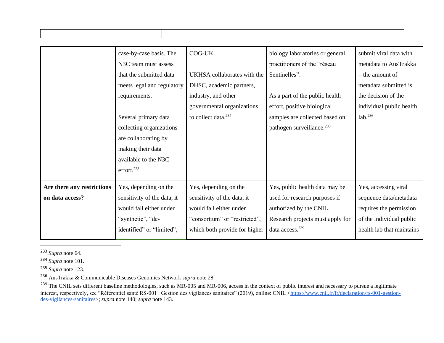|                            | case-by-case basis. The           | COG-UK.                         | biology laboratories or general       | submit viral data with    |
|----------------------------|-----------------------------------|---------------------------------|---------------------------------------|---------------------------|
|                            | N <sub>3</sub> C team must assess |                                 | practitioners of the "réseau          | metadata to AusTrakka     |
|                            | that the submitted data           | UKHSA collaborates with the     | Sentinelles".                         | – the amount of           |
|                            | meets legal and regulatory        | DHSC, academic partners,        |                                       | metadata submitted is     |
|                            | requirements.                     | industry, and other             | As a part of the public health        | the decision of the       |
|                            |                                   | governmental organizations      | effort, positive biological           | individual public health  |
|                            | Several primary data              | to collect data. <sup>234</sup> | samples are collected based on        | lab. <sup>236</sup>       |
|                            | collecting organizations          |                                 | pathogen surveillance. <sup>235</sup> |                           |
|                            | are collaborating by              |                                 |                                       |                           |
|                            | making their data                 |                                 |                                       |                           |
|                            | available to the N3C              |                                 |                                       |                           |
|                            | effort. <sup>233</sup>            |                                 |                                       |                           |
| Are there any restrictions | Yes, depending on the             | Yes, depending on the           | Yes, public health data may be        | Yes, accessing viral      |
| on data access?            | sensitivity of the data, it       | sensitivity of the data, it     | used for research purposes if         | sequence data/metadata    |
|                            | would fall either under           | would fall either under         | authorized by the CNIL.               | requires the permission   |
|                            | "synthetic", "de-                 | "consortium" or "restricted",   | Research projects must apply for      | of the individual public  |
|                            | identified" or "limited",         | which both provide for higher   | data access. <sup>239</sup>           | health lab that maintains |

┓

<sup>233</sup> *Supra* note 64.

Τ

<sup>234</sup> *Supra* note 101.

<sup>235</sup> *Supra* note 123.

<sup>236</sup> AusTrakka & Communicable Diseases Genomics Network *supra* note 28.

<sup>&</sup>lt;sup>239</sup> The CNIL sets different baseline methodologies, such as MR-005 and MR-006, access in the context of public interest and necessary to pursue a legitimate interest, respectively, see "Référentiel santé RS-001 : Gestion des vigilances sanitaires" (2019), online: CNIL [<https://www.cnil.fr/fr/declaration/rs-001-gestion](https://www.cnil.fr/fr/declaration/rs-001-gestion-des-vigilances-sanitaires)[des-vigilances-sanitaires>](https://www.cnil.fr/fr/declaration/rs-001-gestion-des-vigilances-sanitaires); *supra* note 140; *supra* note 143.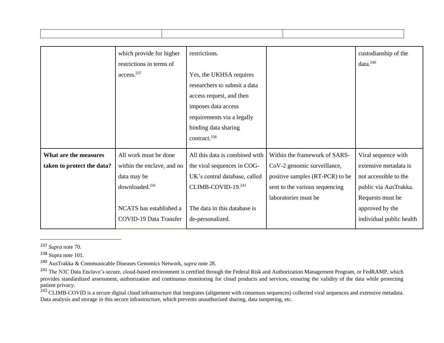|                            | which provide for higher      | restrictions.                  |                                 | custodianship of the     |
|----------------------------|-------------------------------|--------------------------------|---------------------------------|--------------------------|
|                            | restrictions in terms of      |                                |                                 | data. <sup>240</sup>     |
|                            | access. <sup>237</sup>        | Yes, the UKHSA requires        |                                 |                          |
|                            |                               | researchers to submit a data   |                                 |                          |
|                            |                               | access request, and then       |                                 |                          |
|                            |                               | imposes data access            |                                 |                          |
|                            |                               | requirements via a legally     |                                 |                          |
|                            |                               | binding data sharing           |                                 |                          |
|                            |                               | contract. <sup>238</sup>       |                                 |                          |
| What are the measures      | All work must be done         | All this data is combined with | Within the framework of SARS-   | Viral sequence with      |
|                            |                               |                                |                                 |                          |
| taken to protect the data? | within the enclave, and no    | the viral sequences in COG-    | CoV-2 genomic surveillance,     | extensive metadata is    |
|                            | data may be                   | UK's central database, called  | positive samples (RT-PCR) to be | not accessible to the    |
|                            | downloaded. <sup>241</sup>    | CLIMB-COVID-19.243             | sent to the various sequencing  | public via AusTrakka.    |
|                            |                               |                                | laboratories must be            | Requests must be         |
|                            | NCATS has established a       | The data in this database is   |                                 | approved by the          |
|                            | <b>COVID-19 Data Transfer</b> | de-personalized.               |                                 | individual public health |
|                            |                               |                                |                                 |                          |

<sup>237</sup> *Supra* note 70.

 $243$  CLIMB-COVID is a secure digital cloud infrastructure that integrates (alignment with consensus sequences) collected viral sequences and extensive metadata. Data analysis and storage in this secure infrastructure, which prevents unauthorized sharing, data tampering, etc.

<sup>238</sup> Supra note 101.

<sup>240</sup> AusTrakka & Communicable Diseases Genomics Network, *supra* note 28.

<sup>&</sup>lt;sup>241</sup> The N3C Data Enclave's secure, cloud-based environment is certified through the Federal Risk and Authorization Management Program, or FedRAMP, which provides standardized assessment, authorization and continuous monitoring for cloud products and services, ensuring the validity of the data while protecting patient privacy.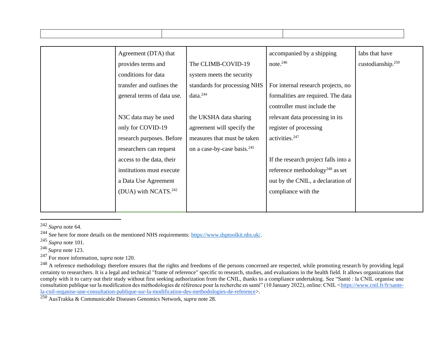| Agreement (DTA) that             |                                         | accompanied by a shipping                   | labs that have                |
|----------------------------------|-----------------------------------------|---------------------------------------------|-------------------------------|
| provides terms and               | The CLIMB-COVID-19                      | note. $246$                                 | custodianship. <sup>250</sup> |
| conditions for data              | system meets the security               |                                             |                               |
| transfer and outlines the        | standards for processing NHS            | For internal research projects, no          |                               |
| general terms of data use.       | data. <sup>244</sup>                    | formalities are required. The data          |                               |
|                                  |                                         | controller must include the                 |                               |
| N3C data may be used             | the UKSHA data sharing                  | relevant data processing in its             |                               |
| only for COVID-19                | agreement will specify the              | register of processing                      |                               |
| research purposes. Before        | measures that must be taken             | activities. <sup>247</sup>                  |                               |
| researchers can request          | on a case-by-case basis. <sup>245</sup> |                                             |                               |
| access to the data, their        |                                         | If the research project falls into a        |                               |
| institutions must execute        |                                         | reference methodology <sup>248</sup> as set |                               |
| a Data Use Agreement             |                                         | out by the CNIL, a declaration of           |                               |
| (DUA) with NCATS. <sup>242</sup> |                                         | compliance with the                         |                               |
|                                  |                                         |                                             |                               |
|                                  |                                         |                                             |                               |

<sup>242</sup> *Supra* note 64.

<sup>244</sup> See here for more details on the mentioned NHS requirements: [https://www.dsptoolkit.nhs.uk/.](https://www.dsptoolkit.nhs.uk/)

<sup>245</sup> *Supra* note 101.

<sup>246</sup> *Supra* note 123.

<sup>247</sup> For more information, *supra* note 120.

<sup>248</sup> A reference methodology therefore ensures that the rights and freedoms of the persons concerned are respected, while promoting research by providing legal certainty to researchers. It is a legal and technical "frame of reference" specific to research, studies, and evaluations in the health field. It allows organizations that comply with it to carry out their study without first seeking authorization from the CNIL, thanks to a compliance undertaking. See "Santé : la CNIL organise une consultation publique sur la modification des méthodologies de référence pour la recherche en santé" (10 January 2022), online: CNIL [<https://www.cnil.fr/fr/sante](https://www.cnil.fr/fr/sante-la-cnil-organise-une-consultation-publique-sur-la-modification-des-methodologies-de-reference)[la-cnil-organise-une-consultation-publique-sur-la-modification-des-methodologies-de-reference>](https://www.cnil.fr/fr/sante-la-cnil-organise-une-consultation-publique-sur-la-modification-des-methodologies-de-reference).

<sup>250</sup> AusTrakka & Communicable Diseases Genomics Network, *supra* note 28.